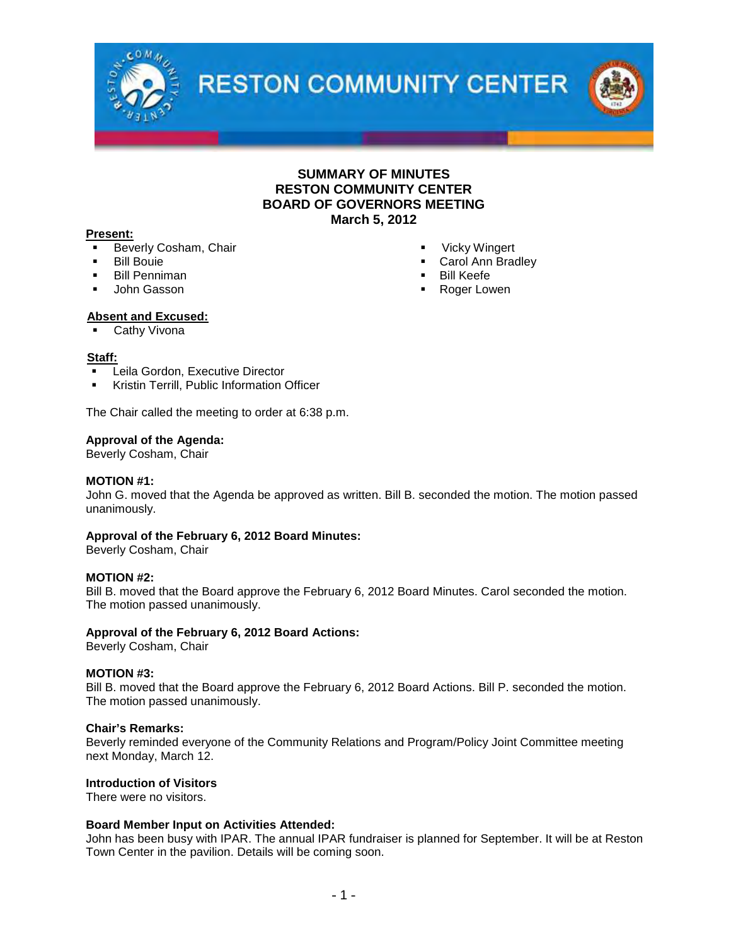

## **SUMMARY OF MINUTES RESTON COMMUNITY CENTER BOARD OF GOVERNORS MEETING March 5, 2012**

#### **Present:**

- Beverly Cosham, Chair
- Bill Bouie
- Bill Penniman
- John Gasson
- Vicky Wingert
- Carol Ann Bradley
- Bill Keefe
- **Roger Lowen**

## **Absent and Excused:**

Cathy Vivona

#### **Staff:**

- Leila Gordon, Executive Director
- Kristin Terrill, Public Information Officer

The Chair called the meeting to order at 6:38 p.m.

#### **Approval of the Agenda:**

Beverly Cosham, Chair

#### **MOTION #1:**

John G. moved that the Agenda be approved as written. Bill B. seconded the motion. The motion passed unanimously.

## **Approval of the February 6, 2012 Board Minutes:**

Beverly Cosham, Chair

## **MOTION #2:**

Bill B. moved that the Board approve the February 6, 2012 Board Minutes. Carol seconded the motion. The motion passed unanimously.

#### **Approval of the February 6, 2012 Board Actions:**

Beverly Cosham, Chair

#### **MOTION #3:**

Bill B. moved that the Board approve the February 6, 2012 Board Actions. Bill P. seconded the motion. The motion passed unanimously.

#### **Chair's Remarks:**

Beverly reminded everyone of the Community Relations and Program/Policy Joint Committee meeting next Monday, March 12.

## **Introduction of Visitors**

There were no visitors.

## **Board Member Input on Activities Attended:**

John has been busy with IPAR. The annual IPAR fundraiser is planned for September. It will be at Reston Town Center in the pavilion. Details will be coming soon.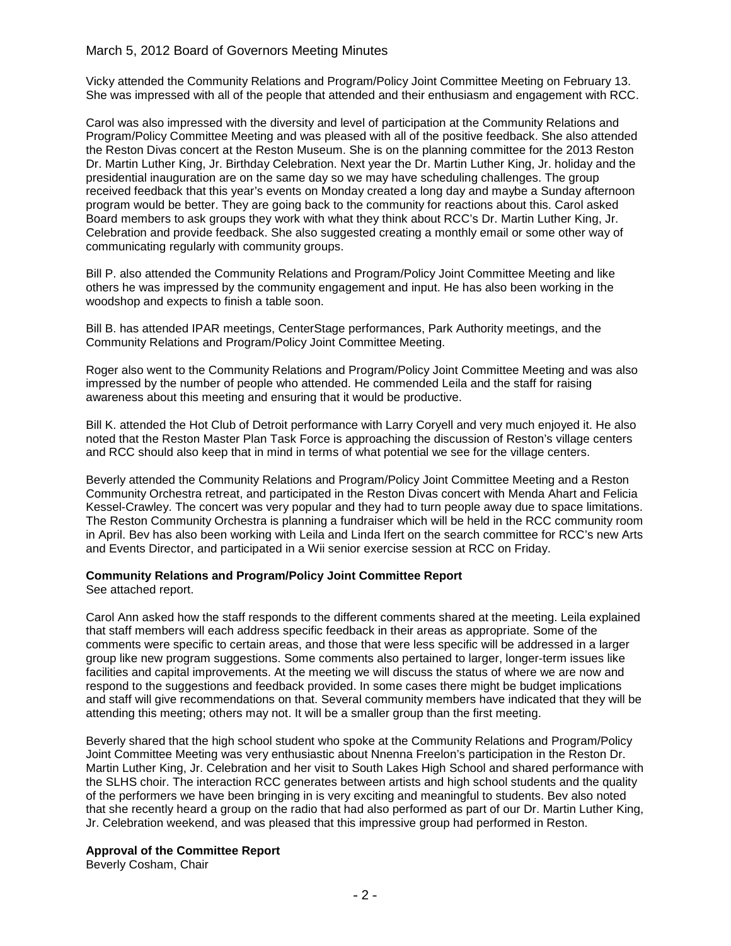## March 5, 2012 Board of Governors Meeting Minutes

Vicky attended the Community Relations and Program/Policy Joint Committee Meeting on February 13. She was impressed with all of the people that attended and their enthusiasm and engagement with RCC.

Carol was also impressed with the diversity and level of participation at the Community Relations and Program/Policy Committee Meeting and was pleased with all of the positive feedback. She also attended the Reston Divas concert at the Reston Museum. She is on the planning committee for the 2013 Reston Dr. Martin Luther King, Jr. Birthday Celebration. Next year the Dr. Martin Luther King, Jr. holiday and the presidential inauguration are on the same day so we may have scheduling challenges. The group received feedback that this year's events on Monday created a long day and maybe a Sunday afternoon program would be better. They are going back to the community for reactions about this. Carol asked Board members to ask groups they work with what they think about RCC's Dr. Martin Luther King, Jr. Celebration and provide feedback. She also suggested creating a monthly email or some other way of communicating regularly with community groups.

Bill P. also attended the Community Relations and Program/Policy Joint Committee Meeting and like others he was impressed by the community engagement and input. He has also been working in the woodshop and expects to finish a table soon.

Bill B. has attended IPAR meetings, CenterStage performances, Park Authority meetings, and the Community Relations and Program/Policy Joint Committee Meeting.

Roger also went to the Community Relations and Program/Policy Joint Committee Meeting and was also impressed by the number of people who attended. He commended Leila and the staff for raising awareness about this meeting and ensuring that it would be productive.

Bill K. attended the Hot Club of Detroit performance with Larry Coryell and very much enjoyed it. He also noted that the Reston Master Plan Task Force is approaching the discussion of Reston's village centers and RCC should also keep that in mind in terms of what potential we see for the village centers.

Beverly attended the Community Relations and Program/Policy Joint Committee Meeting and a Reston Community Orchestra retreat, and participated in the Reston Divas concert with Menda Ahart and Felicia Kessel-Crawley. The concert was very popular and they had to turn people away due to space limitations. The Reston Community Orchestra is planning a fundraiser which will be held in the RCC community room in April. Bev has also been working with Leila and Linda Ifert on the search committee for RCC's new Arts and Events Director, and participated in a Wii senior exercise session at RCC on Friday.

## **Community Relations and Program/Policy Joint Committee Report**

See attached report.

Carol Ann asked how the staff responds to the different comments shared at the meeting. Leila explained that staff members will each address specific feedback in their areas as appropriate. Some of the comments were specific to certain areas, and those that were less specific will be addressed in a larger group like new program suggestions. Some comments also pertained to larger, longer-term issues like facilities and capital improvements. At the meeting we will discuss the status of where we are now and respond to the suggestions and feedback provided. In some cases there might be budget implications and staff will give recommendations on that. Several community members have indicated that they will be attending this meeting; others may not. It will be a smaller group than the first meeting.

Beverly shared that the high school student who spoke at the Community Relations and Program/Policy Joint Committee Meeting was very enthusiastic about Nnenna Freelon's participation in the Reston Dr. Martin Luther King, Jr. Celebration and her visit to South Lakes High School and shared performance with the SLHS choir. The interaction RCC generates between artists and high school students and the quality of the performers we have been bringing in is very exciting and meaningful to students. Bev also noted that she recently heard a group on the radio that had also performed as part of our Dr. Martin Luther King, Jr. Celebration weekend, and was pleased that this impressive group had performed in Reston.

## **Approval of the Committee Report**

Beverly Cosham, Chair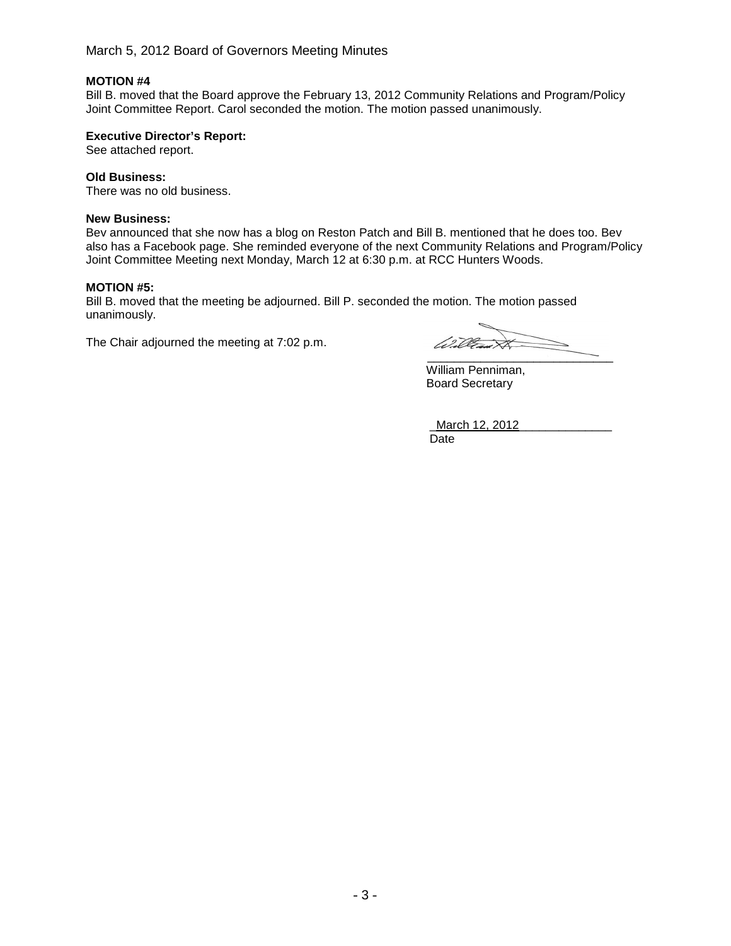March 5, 2012 Board of Governors Meeting Minutes

## **MOTION #4**

Bill B. moved that the Board approve the February 13, 2012 Community Relations and Program/Policy Joint Committee Report. Carol seconded the motion. The motion passed unanimously.

## **Executive Director's Report:**

See attached report.

## **Old Business:**

There was no old business.

## **New Business:**

Bev announced that she now has a blog on Reston Patch and Bill B. mentioned that he does too. Bev also has a Facebook page. She reminded everyone of the next Community Relations and Program/Policy Joint Committee Meeting next Monday, March 12 at 6:30 p.m. at RCC Hunters Woods.

## **MOTION #5:**

Bill B. moved that the meeting be adjourned. Bill P. seconded the motion. The motion passed unanimously.

The Chair adjourned the meeting at 7:02 p.m.

(1)**R**  $\cancel{\approx}$  $\frac{1}{\sqrt{2}}$ 

William Penniman, Board Secretary

March 12, 2012 Date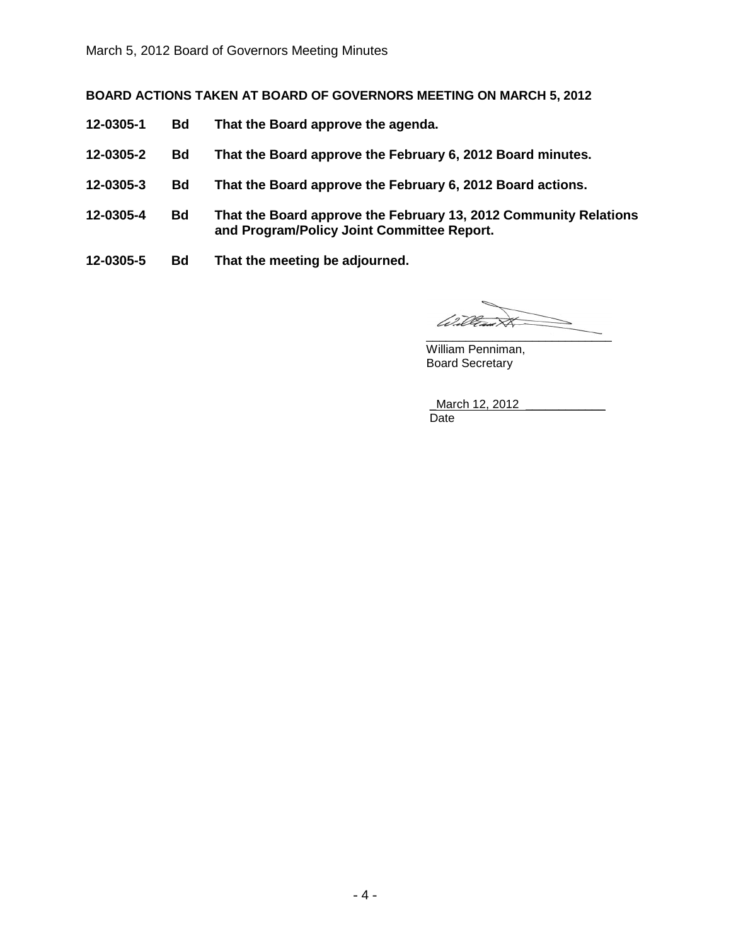**BOARD ACTIONS TAKEN AT BOARD OF GOVERNORS MEETING ON MARCH 5, 2012**

- **12-0305-1 Bd That the Board approve the agenda.**
- **12-0305-2 Bd That the Board approve the February 6, 2012 Board minutes.**
- **12-0305-3 Bd That the Board approve the February 6, 2012 Board actions.**
- **12-0305-4 Bd That the Board approve the February 13, 2012 Community Relations and Program/Policy Joint Committee Report.**
- **12-0305-5 Bd That the meeting be adjourned.**

William  $\overbrace{\phantom{xxxxx}}$ 

William Penniman, Board Secretary

March 12, 2012 Date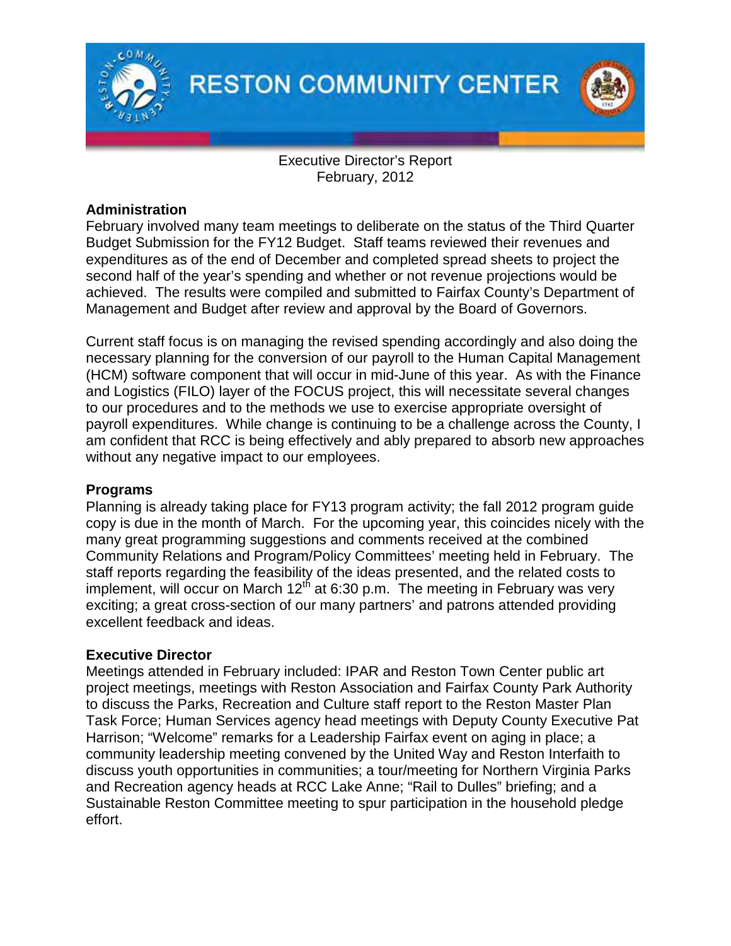



Executive Director's Report February, 2012

## **Administration**

February involved many team meetings to deliberate on the status of the Third Quarter Budget Submission for the FY12 Budget. Staff teams reviewed their revenues and expenditures as of the end of December and completed spread sheets to project the second half of the year's spending and whether or not revenue projections would be achieved. The results were compiled and submitted to Fairfax County's Department of Management and Budget after review and approval by the Board of Governors.

Current staff focus is on managing the revised spending accordingly and also doing the necessary planning for the conversion of our payroll to the Human Capital Management (HCM) software component that will occur in mid-June of this year. As with the Finance and Logistics (FILO) layer of the FOCUS project, this will necessitate several changes to our procedures and to the methods we use to exercise appropriate oversight of payroll expenditures. While change is continuing to be a challenge across the County, I am confident that RCC is being effectively and ably prepared to absorb new approaches without any negative impact to our employees.

## **Programs**

Planning is already taking place for FY13 program activity; the fall 2012 program guide copy is due in the month of March. For the upcoming year, this coincides nicely with the many great programming suggestions and comments received at the combined Community Relations and Program/Policy Committees' meeting held in February. The staff reports regarding the feasibility of the ideas presented, and the related costs to implement, will occur on March  $12<sup>th</sup>$  at 6:30 p.m. The meeting in February was very exciting; a great cross-section of our many partners' and patrons attended providing excellent feedback and ideas.

## **Executive Director**

Meetings attended in February included: IPAR and Reston Town Center public art project meetings, meetings with Reston Association and Fairfax County Park Authority to discuss the Parks, Recreation and Culture staff report to the Reston Master Plan Task Force; Human Services agency head meetings with Deputy County Executive Pat Harrison; "Welcome" remarks for a Leadership Fairfax event on aging in place; a community leadership meeting convened by the United Way and Reston Interfaith to discuss youth opportunities in communities; a tour/meeting for Northern Virginia Parks and Recreation agency heads at RCC Lake Anne; "Rail to Dulles" briefing; and a Sustainable Reston Committee meeting to spur participation in the household pledge effort.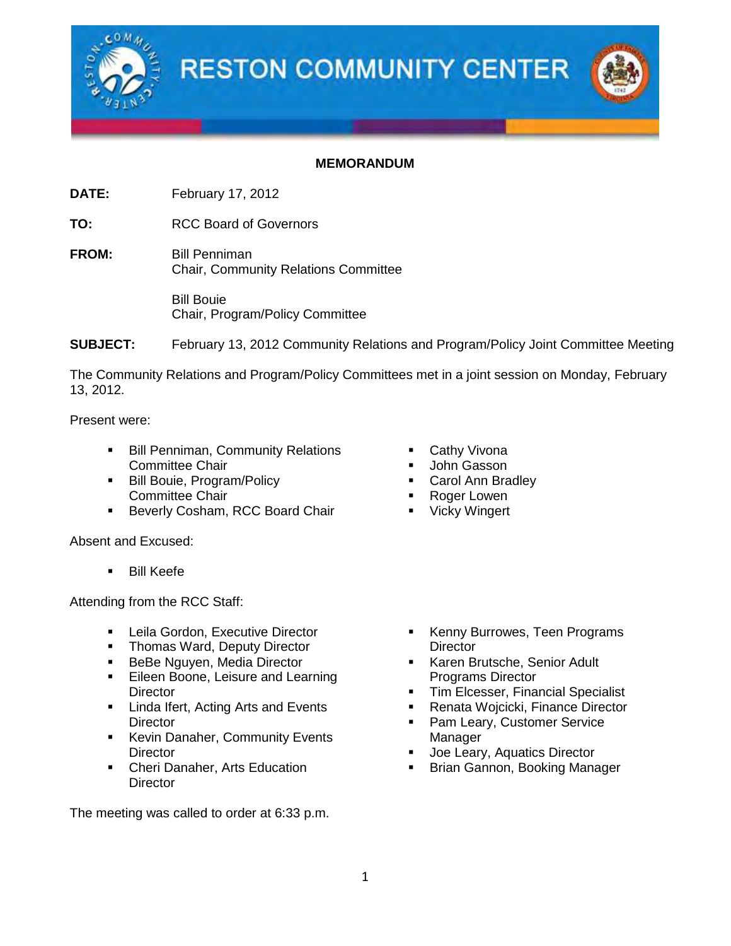

## **MEMORANDUM**

**DATE:** February 17, 2012

**TO:** RCC Board of Governors

**FROM:** Bill Penniman Chair, Community Relations Committee

> Bill Bouie Chair, Program/Policy Committee

**SUBJECT:** February 13, 2012 Community Relations and Program/Policy Joint Committee Meeting

The Community Relations and Program/Policy Committees met in a joint session on Monday, February 13, 2012.

Present were:

- **Bill Penniman, Community Relations** Committee Chair
- **Bill Bouie, Program/Policy** Committee Chair
- **Beverly Cosham, RCC Board Chair**

Absent and Excused:

**Bill Keefe** 

Attending from the RCC Staff:

- **EXECUTE:** Leila Gordon, Executive Director
- Thomas Ward, Deputy Director
- **BeBe Nguyen, Media Director**
- **Eileen Boone, Leisure and Learning Director**
- **E** Linda Ifert, Acting Arts and Events **Director**
- **Kevin Danaher, Community Events Director**
- **Cheri Danaher, Arts Education Director**

The meeting was called to order at 6:33 p.m.

- Cathy Vivona
- John Gasson
- Carol Ann Bradley
- Roger Lowen
- **•** Vicky Wingert

- Kenny Burrowes, Teen Programs **Director**
- **Karen Brutsche, Senior Adult** Programs Director
- Tim Elcesser, Financial Specialist
- Renata Wojcicki, Finance Director
- Pam Leary, Customer Service Manager
- Joe Leary, Aquatics Director
- Brian Gannon, Booking Manager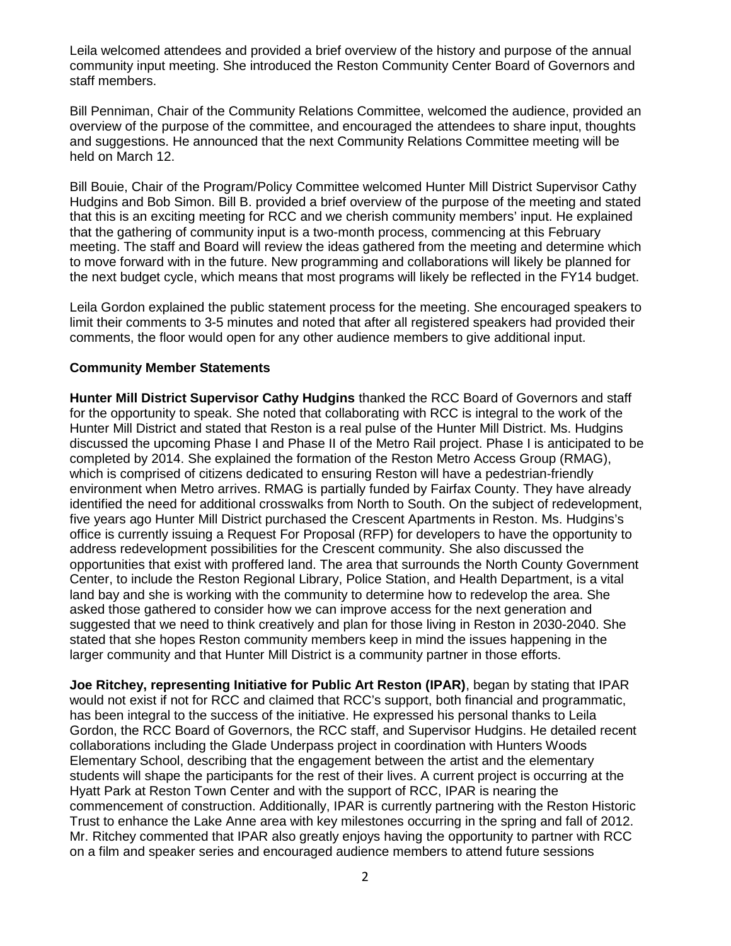Leila welcomed attendees and provided a brief overview of the history and purpose of the annual community input meeting. She introduced the Reston Community Center Board of Governors and staff members.

Bill Penniman, Chair of the Community Relations Committee, welcomed the audience, provided an overview of the purpose of the committee, and encouraged the attendees to share input, thoughts and suggestions. He announced that the next Community Relations Committee meeting will be held on March 12.

Bill Bouie, Chair of the Program/Policy Committee welcomed Hunter Mill District Supervisor Cathy Hudgins and Bob Simon. Bill B. provided a brief overview of the purpose of the meeting and stated that this is an exciting meeting for RCC and we cherish community members' input. He explained that the gathering of community input is a two-month process, commencing at this February meeting. The staff and Board will review the ideas gathered from the meeting and determine which to move forward with in the future. New programming and collaborations will likely be planned for the next budget cycle, which means that most programs will likely be reflected in the FY14 budget.

Leila Gordon explained the public statement process for the meeting. She encouraged speakers to limit their comments to 3-5 minutes and noted that after all registered speakers had provided their comments, the floor would open for any other audience members to give additional input.

## **Community Member Statements**

**Hunter Mill District Supervisor Cathy Hudgins** thanked the RCC Board of Governors and staff for the opportunity to speak. She noted that collaborating with RCC is integral to the work of the Hunter Mill District and stated that Reston is a real pulse of the Hunter Mill District. Ms. Hudgins discussed the upcoming Phase I and Phase II of the Metro Rail project. Phase I is anticipated to be completed by 2014. She explained the formation of the Reston Metro Access Group (RMAG), which is comprised of citizens dedicated to ensuring Reston will have a pedestrian-friendly environment when Metro arrives. RMAG is partially funded by Fairfax County. They have already identified the need for additional crosswalks from North to South. On the subject of redevelopment, five years ago Hunter Mill District purchased the Crescent Apartments in Reston. Ms. Hudgins's office is currently issuing a Request For Proposal (RFP) for developers to have the opportunity to address redevelopment possibilities for the Crescent community. She also discussed the opportunities that exist with proffered land. The area that surrounds the North County Government Center, to include the Reston Regional Library, Police Station, and Health Department, is a vital land bay and she is working with the community to determine how to redevelop the area. She asked those gathered to consider how we can improve access for the next generation and suggested that we need to think creatively and plan for those living in Reston in 2030-2040. She stated that she hopes Reston community members keep in mind the issues happening in the larger community and that Hunter Mill District is a community partner in those efforts.

**Joe Ritchey, representing Initiative for Public Art Reston (IPAR)**, began by stating that IPAR would not exist if not for RCC and claimed that RCC's support, both financial and programmatic, has been integral to the success of the initiative. He expressed his personal thanks to Leila Gordon, the RCC Board of Governors, the RCC staff, and Supervisor Hudgins. He detailed recent collaborations including the Glade Underpass project in coordination with Hunters Woods Elementary School, describing that the engagement between the artist and the elementary students will shape the participants for the rest of their lives. A current project is occurring at the Hyatt Park at Reston Town Center and with the support of RCC, IPAR is nearing the commencement of construction. Additionally, IPAR is currently partnering with the Reston Historic Trust to enhance the Lake Anne area with key milestones occurring in the spring and fall of 2012. Mr. Ritchey commented that IPAR also greatly enjoys having the opportunity to partner with RCC on a film and speaker series and encouraged audience members to attend future sessions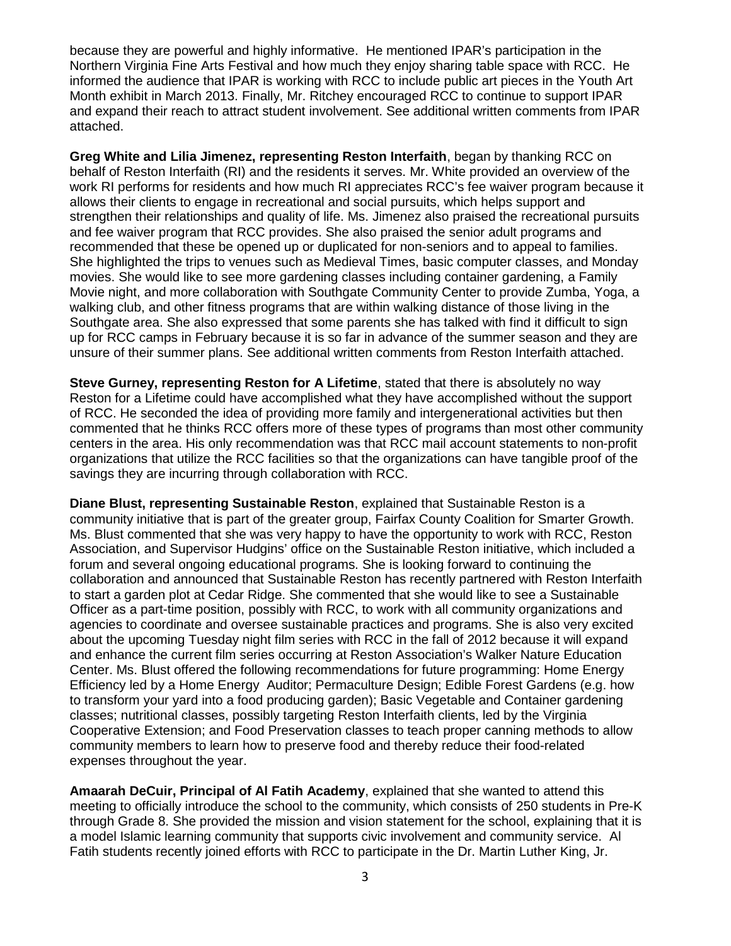because they are powerful and highly informative. He mentioned IPAR's participation in the Northern Virginia Fine Arts Festival and how much they enjoy sharing table space with RCC. He informed the audience that IPAR is working with RCC to include public art pieces in the Youth Art Month exhibit in March 2013. Finally, Mr. Ritchey encouraged RCC to continue to support IPAR and expand their reach to attract student involvement. See additional written comments from IPAR attached.

**Greg White and Lilia Jimenez, representing Reston Interfaith**, began by thanking RCC on behalf of Reston Interfaith (RI) and the residents it serves. Mr. White provided an overview of the work RI performs for residents and how much RI appreciates RCC's fee waiver program because it allows their clients to engage in recreational and social pursuits, which helps support and strengthen their relationships and quality of life. Ms. Jimenez also praised the recreational pursuits and fee waiver program that RCC provides. She also praised the senior adult programs and recommended that these be opened up or duplicated for non-seniors and to appeal to families. She highlighted the trips to venues such as Medieval Times, basic computer classes, and Monday movies. She would like to see more gardening classes including container gardening, a Family Movie night, and more collaboration with Southgate Community Center to provide Zumba, Yoga, a walking club, and other fitness programs that are within walking distance of those living in the Southgate area. She also expressed that some parents she has talked with find it difficult to sign up for RCC camps in February because it is so far in advance of the summer season and they are unsure of their summer plans. See additional written comments from Reston Interfaith attached.

**Steve Gurney, representing Reston for A Lifetime**, stated that there is absolutely no way Reston for a Lifetime could have accomplished what they have accomplished without the support of RCC. He seconded the idea of providing more family and intergenerational activities but then commented that he thinks RCC offers more of these types of programs than most other community centers in the area. His only recommendation was that RCC mail account statements to non-profit organizations that utilize the RCC facilities so that the organizations can have tangible proof of the savings they are incurring through collaboration with RCC.

**Diane Blust, representing Sustainable Reston**, explained that Sustainable Reston is a community initiative that is part of the greater group, Fairfax County Coalition for Smarter Growth. Ms. Blust commented that she was very happy to have the opportunity to work with RCC, Reston Association, and Supervisor Hudgins' office on the Sustainable Reston initiative, which included a forum and several ongoing educational programs. She is looking forward to continuing the collaboration and announced that Sustainable Reston has recently partnered with Reston Interfaith to start a garden plot at Cedar Ridge. She commented that she would like to see a Sustainable Officer as a part-time position, possibly with RCC, to work with all community organizations and agencies to coordinate and oversee sustainable practices and programs. She is also very excited about the upcoming Tuesday night film series with RCC in the fall of 2012 because it will expand and enhance the current film series occurring at Reston Association's Walker Nature Education Center. Ms. Blust offered the following recommendations for future programming: Home Energy Efficiency led by a Home Energy Auditor; Permaculture Design; Edible Forest Gardens (e.g. how to transform your yard into a food producing garden); Basic Vegetable and Container gardening classes; nutritional classes, possibly targeting Reston Interfaith clients, led by the Virginia Cooperative Extension; and Food Preservation classes to teach proper canning methods to allow community members to learn how to preserve food and thereby reduce their food-related expenses throughout the year.

**Amaarah DeCuir, Principal of Al Fatih Academy**, explained that she wanted to attend this meeting to officially introduce the school to the community, which consists of 250 students in Pre-K through Grade 8. She provided the mission and vision statement for the school, explaining that it is a model Islamic learning community that supports civic involvement and community service. Al Fatih students recently joined efforts with RCC to participate in the Dr. Martin Luther King, Jr.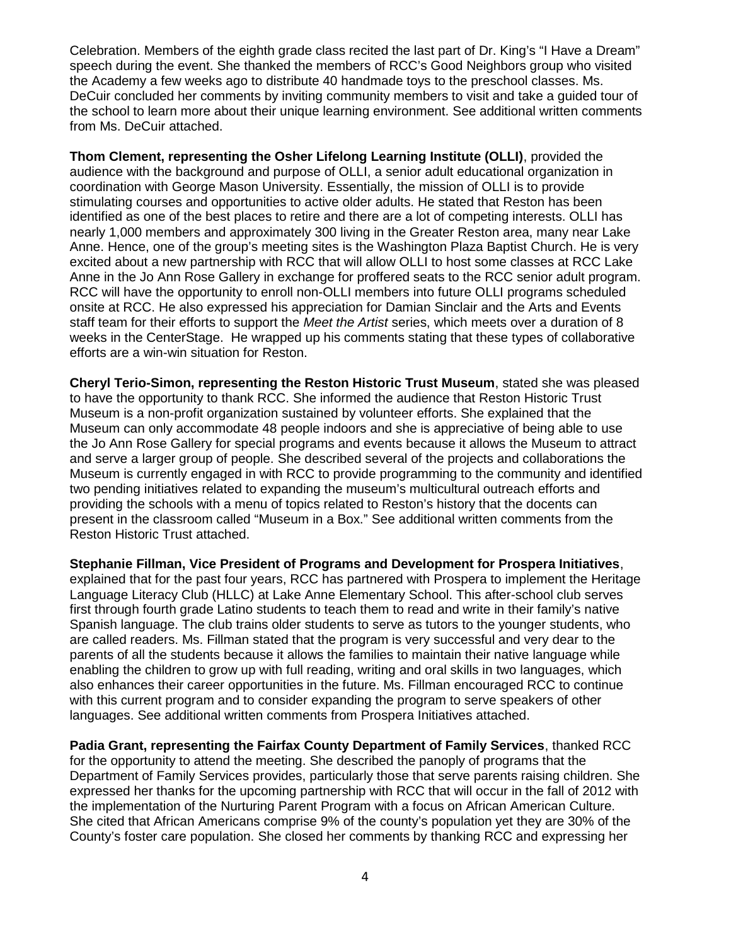Celebration. Members of the eighth grade class recited the last part of Dr. King's "I Have a Dream" speech during the event. She thanked the members of RCC's Good Neighbors group who visited the Academy a few weeks ago to distribute 40 handmade toys to the preschool classes. Ms. DeCuir concluded her comments by inviting community members to visit and take a guided tour of the school to learn more about their unique learning environment. See additional written comments from Ms. DeCuir attached.

**Thom Clement, representing the Osher Lifelong Learning Institute (OLLI)**, provided the audience with the background and purpose of OLLI, a senior adult educational organization in coordination with George Mason University. Essentially, the mission of OLLI is to provide stimulating courses and opportunities to active older adults. He stated that Reston has been identified as one of the best places to retire and there are a lot of competing interests. OLLI has nearly 1,000 members and approximately 300 living in the Greater Reston area, many near Lake Anne. Hence, one of the group's meeting sites is the Washington Plaza Baptist Church. He is very excited about a new partnership with RCC that will allow OLLI to host some classes at RCC Lake Anne in the Jo Ann Rose Gallery in exchange for proffered seats to the RCC senior adult program. RCC will have the opportunity to enroll non-OLLI members into future OLLI programs scheduled onsite at RCC. He also expressed his appreciation for Damian Sinclair and the Arts and Events staff team for their efforts to support the *Meet the Artist* series, which meets over a duration of 8 weeks in the CenterStage. He wrapped up his comments stating that these types of collaborative efforts are a win-win situation for Reston.

**Cheryl Terio-Simon, representing the Reston Historic Trust Museum**, stated she was pleased to have the opportunity to thank RCC. She informed the audience that Reston Historic Trust Museum is a non-profit organization sustained by volunteer efforts. She explained that the Museum can only accommodate 48 people indoors and she is appreciative of being able to use the Jo Ann Rose Gallery for special programs and events because it allows the Museum to attract and serve a larger group of people. She described several of the projects and collaborations the Museum is currently engaged in with RCC to provide programming to the community and identified two pending initiatives related to expanding the museum's multicultural outreach efforts and providing the schools with a menu of topics related to Reston's history that the docents can present in the classroom called "Museum in a Box." See additional written comments from the Reston Historic Trust attached.

**Stephanie Fillman, Vice President of Programs and Development for Prospera Initiatives**, explained that for the past four years, RCC has partnered with Prospera to implement the Heritage Language Literacy Club (HLLC) at Lake Anne Elementary School. This after-school club serves first through fourth grade Latino students to teach them to read and write in their family's native Spanish language. The club trains older students to serve as tutors to the younger students, who are called readers. Ms. Fillman stated that the program is very successful and very dear to the parents of all the students because it allows the families to maintain their native language while enabling the children to grow up with full reading, writing and oral skills in two languages, which also enhances their career opportunities in the future. Ms. Fillman encouraged RCC to continue with this current program and to consider expanding the program to serve speakers of other languages. See additional written comments from Prospera Initiatives attached.

**Padia Grant, representing the Fairfax County Department of Family Services**, thanked RCC for the opportunity to attend the meeting. She described the panoply of programs that the Department of Family Services provides, particularly those that serve parents raising children. She expressed her thanks for the upcoming partnership with RCC that will occur in the fall of 2012 with the implementation of the Nurturing Parent Program with a focus on African American Culture. She cited that African Americans comprise 9% of the county's population yet they are 30% of the County's foster care population. She closed her comments by thanking RCC and expressing her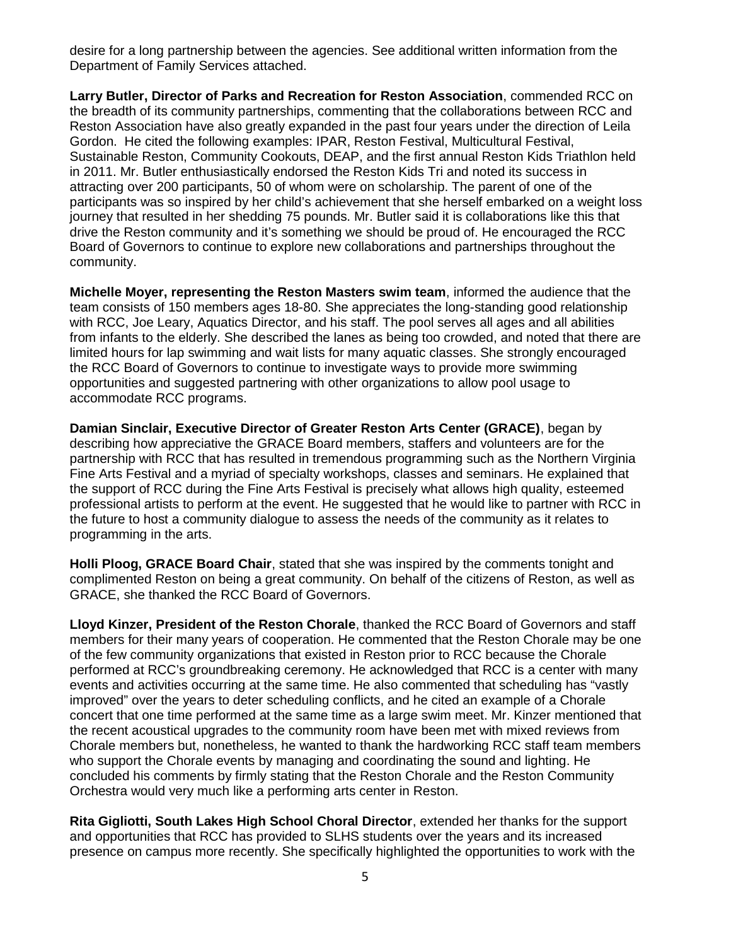desire for a long partnership between the agencies. See additional written information from the Department of Family Services attached.

**Larry Butler, Director of Parks and Recreation for Reston Association**, commended RCC on the breadth of its community partnerships, commenting that the collaborations between RCC and Reston Association have also greatly expanded in the past four years under the direction of Leila Gordon. He cited the following examples: IPAR, Reston Festival, Multicultural Festival, Sustainable Reston, Community Cookouts, DEAP, and the first annual Reston Kids Triathlon held in 2011. Mr. Butler enthusiastically endorsed the Reston Kids Tri and noted its success in attracting over 200 participants, 50 of whom were on scholarship. The parent of one of the participants was so inspired by her child's achievement that she herself embarked on a weight loss journey that resulted in her shedding 75 pounds. Mr. Butler said it is collaborations like this that drive the Reston community and it's something we should be proud of. He encouraged the RCC Board of Governors to continue to explore new collaborations and partnerships throughout the community.

**Michelle Moyer, representing the Reston Masters swim team**, informed the audience that the team consists of 150 members ages 18-80. She appreciates the long-standing good relationship with RCC, Joe Leary, Aquatics Director, and his staff. The pool serves all ages and all abilities from infants to the elderly. She described the lanes as being too crowded, and noted that there are limited hours for lap swimming and wait lists for many aquatic classes. She strongly encouraged the RCC Board of Governors to continue to investigate ways to provide more swimming opportunities and suggested partnering with other organizations to allow pool usage to accommodate RCC programs.

**Damian Sinclair, Executive Director of Greater Reston Arts Center (GRACE)**, began by describing how appreciative the GRACE Board members, staffers and volunteers are for the partnership with RCC that has resulted in tremendous programming such as the Northern Virginia Fine Arts Festival and a myriad of specialty workshops, classes and seminars. He explained that the support of RCC during the Fine Arts Festival is precisely what allows high quality, esteemed professional artists to perform at the event. He suggested that he would like to partner with RCC in the future to host a community dialogue to assess the needs of the community as it relates to programming in the arts.

**Holli Ploog, GRACE Board Chair**, stated that she was inspired by the comments tonight and complimented Reston on being a great community. On behalf of the citizens of Reston, as well as GRACE, she thanked the RCC Board of Governors.

**Lloyd Kinzer, President of the Reston Chorale**, thanked the RCC Board of Governors and staff members for their many years of cooperation. He commented that the Reston Chorale may be one of the few community organizations that existed in Reston prior to RCC because the Chorale performed at RCC's groundbreaking ceremony. He acknowledged that RCC is a center with many events and activities occurring at the same time. He also commented that scheduling has "vastly improved" over the years to deter scheduling conflicts, and he cited an example of a Chorale concert that one time performed at the same time as a large swim meet. Mr. Kinzer mentioned that the recent acoustical upgrades to the community room have been met with mixed reviews from Chorale members but, nonetheless, he wanted to thank the hardworking RCC staff team members who support the Chorale events by managing and coordinating the sound and lighting. He concluded his comments by firmly stating that the Reston Chorale and the Reston Community Orchestra would very much like a performing arts center in Reston.

**Rita Gigliotti, South Lakes High School Choral Director**, extended her thanks for the support and opportunities that RCC has provided to SLHS students over the years and its increased presence on campus more recently. She specifically highlighted the opportunities to work with the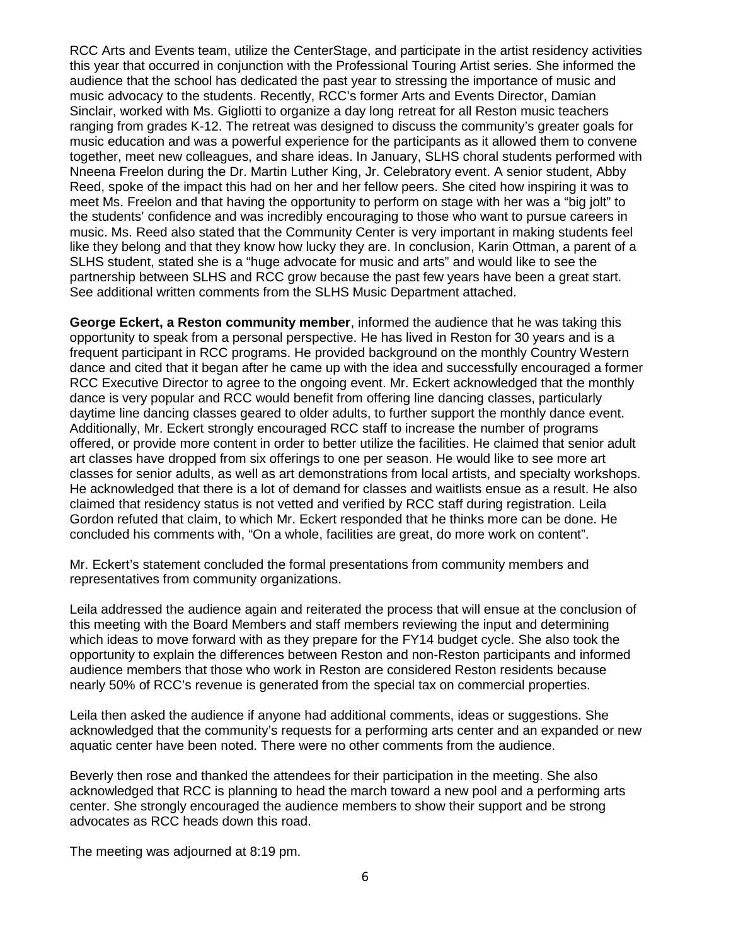RCC Arts and Events team, utilize the CenterStage, and participate in the artist residency activities this year that occurred in conjunction with the Professional Touring Artist series. She informed the audience that the school has dedicated the past year to stressing the importance of music and music advocacy to the students. Recently, RCC's former Arts and Events Director, Damian Sinclair, worked with Ms. Gigliotti to organize a day long retreat for all Reston music teachers ranging from grades K-12. The retreat was designed to discuss the community's greater goals for music education and was a powerful experience for the participants as it allowed them to convene together, meet new colleagues, and share ideas. In January, SLHS choral students performed with Nneena Freelon during the Dr. Martin Luther King, Jr. Celebratory event. A senior student, Abby Reed, spoke of the impact this had on her and her fellow peers. She cited how inspiring it was to meet Ms. Freelon and that having the opportunity to perform on stage with her was a "big jolt" to the students' confidence and was incredibly encouraging to those who want to pursue careers in music. Ms. Reed also stated that the Community Center is very important in making students feel like they belong and that they know how lucky they are. In conclusion, Karin Ottman, a parent of a SLHS student, stated she is a "huge advocate for music and arts" and would like to see the partnership between SLHS and RCC grow because the past few years have been a great start. See additional written comments from the SLHS Music Department attached.

**George Eckert, a Reston community member**, informed the audience that he was taking this opportunity to speak from a personal perspective. He has lived in Reston for 30 years and is a frequent participant in RCC programs. He provided background on the monthly Country Western dance and cited that it began after he came up with the idea and successfully encouraged a former RCC Executive Director to agree to the ongoing event. Mr. Eckert acknowledged that the monthly dance is very popular and RCC would benefit from offering line dancing classes, particularly daytime line dancing classes geared to older adults, to further support the monthly dance event. Additionally, Mr. Eckert strongly encouraged RCC staff to increase the number of programs offered, or provide more content in order to better utilize the facilities. He claimed that senior adult art classes have dropped from six offerings to one per season. He would like to see more art classes for senior adults, as well as art demonstrations from local artists, and specialty workshops. He acknowledged that there is a lot of demand for classes and waitlists ensue as a result. He also claimed that residency status is not vetted and verified by RCC staff during registration. Leila Gordon refuted that claim, to which Mr. Eckert responded that he thinks more can be done. He concluded his comments with, "On a whole, facilities are great, do more work on content".

Mr. Eckert's statement concluded the formal presentations from community members and representatives from community organizations.

Leila addressed the audience again and reiterated the process that will ensue at the conclusion of this meeting with the Board Members and staff members reviewing the input and determining which ideas to move forward with as they prepare for the FY14 budget cycle. She also took the opportunity to explain the differences between Reston and non-Reston participants and informed audience members that those who work in Reston are considered Reston residents because nearly 50% of RCC's revenue is generated from the special tax on commercial properties.

Leila then asked the audience if anyone had additional comments, ideas or suggestions. She acknowledged that the community's requests for a performing arts center and an expanded or new aquatic center have been noted. There were no other comments from the audience.

Beverly then rose and thanked the attendees for their participation in the meeting. She also acknowledged that RCC is planning to head the march toward a new pool and a performing arts center. She strongly encouraged the audience members to show their support and be strong advocates as RCC heads down this road.

The meeting was adjourned at 8:19 pm.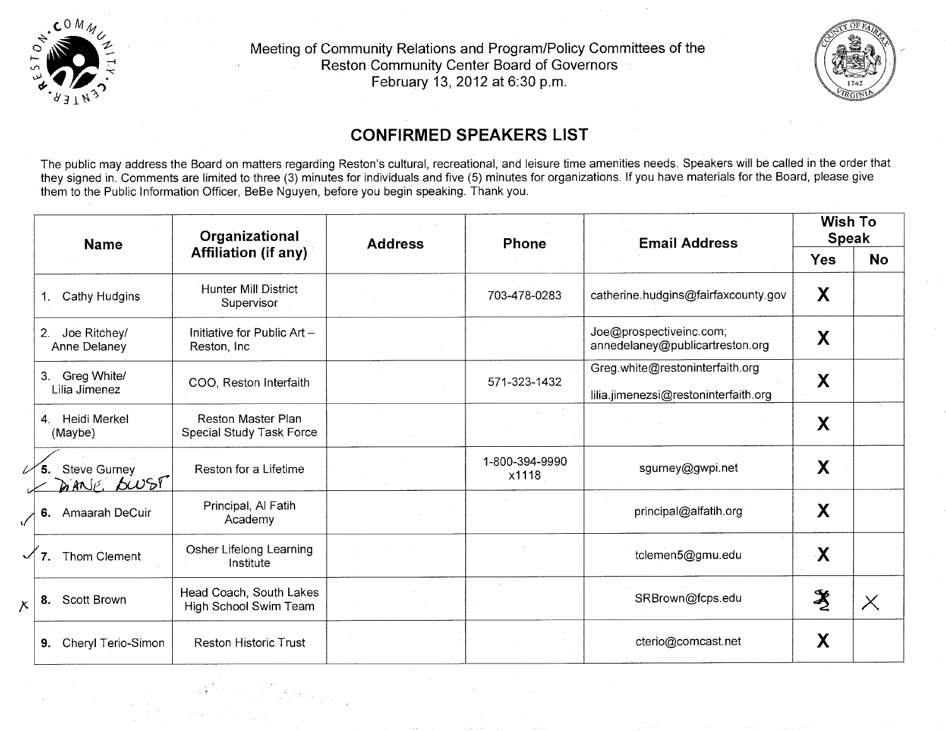

7

Meeting of Community Relations and Program/Policy Committees of the Reston Community Center Board of Governors February 13, 2012 at 6:30 p.m.



## **CONFIRMED SPEAKERS LIST**

The public may address the Board on matters regarding Reston's cultural, recreational, and leisure time amenities needs. Speakers will be called in the order that they signed in. Comments are limited to three (3) minutes for individuals and five (5) minutes for organizations. If you have materials for the Board, please give them to the Public Information Officer, BeBe Nguyen, before you begin speaking. Thank you.

|                |                                  | Organizational<br><b>Address</b><br><b>Name</b><br><b>Affiliation (if any)</b> |  | Phone                   |                                                                         |                                                   | <b>Email Address</b> | <b>Wish To</b><br><b>Speak</b> |  |
|----------------|----------------------------------|--------------------------------------------------------------------------------|--|-------------------------|-------------------------------------------------------------------------|---------------------------------------------------|----------------------|--------------------------------|--|
|                |                                  |                                                                                |  |                         |                                                                         | <b>Yes</b>                                        | <b>No</b>            |                                |  |
|                | Cathy Hudgins                    | <b>Hunter Mill District</b><br>Supervisor                                      |  | 703-478-0283            | catherine.hudgins@fairfaxcounty.gov                                     | X                                                 |                      |                                |  |
| 2.             | Joe Ritchey/<br>Anne Delaney     | Initiative for Public $Art -$<br>Reston, Inc.                                  |  |                         | Joe@prospectiveinc.com;<br>annedelaney@publicartreston.org              | X                                                 |                      |                                |  |
| 3 <sub>1</sub> | Greg White/<br>Lilia Jimenez     | COO, Reston Interfaith                                                         |  | 571-323-1432            | Greg.white@restoninterfaith.org<br>lilia.jimenezsi@restoninterfaith.org | X                                                 |                      |                                |  |
| 4 <sub>1</sub> | Heidi Merkel<br>(Maybe)          | Reston Master Plan<br>Special Study Task Force                                 |  |                         |                                                                         | X                                                 |                      |                                |  |
|                | <b>Steve Gurney</b><br>DANE BWST | Reston for a Lifetime                                                          |  | 1-800-394-9990<br>x1118 | sgurney@gwpi.net                                                        | X                                                 |                      |                                |  |
|                | 6. Amaarah DeCuir                | Principal, Al Fatih<br>Academy                                                 |  |                         | principal@alfatih.org                                                   | X                                                 |                      |                                |  |
|                | Thom Clement                     | Osher Lifelong Learning<br>Institute                                           |  |                         | tclemen5@gmu.edu                                                        | $\mathbf{X}$                                      |                      |                                |  |
| 8.             | Scott Brown                      | Head Coach, South Lakes<br>High School Swim Team                               |  |                         | SRBrown@fcps.edu                                                        | $\frac{\partial \mathbf{y}}{\partial \mathbf{x}}$ | $\times$             |                                |  |
| 9.             | Cheryl Terio-Simon               | <b>Reston Historic Trust</b>                                                   |  |                         | cterio@comcast.net                                                      | X                                                 |                      |                                |  |

 $\left\{ \left\vert \left\langle \mathbf{F}^{\dagger}\right\rangle \right\vert \leq\left\vert \mathbf{F}^{\dagger}\right\rangle \right\vert \left\langle \mathbf{F}^{\dagger}\right\rangle \left\langle \mathbf{F}^{\dagger}\right\rangle \right\} \leq\left\vert \mathbf{F}^{\dagger}\right\vert \left\langle \mathbf{F}^{\dagger}\right\rangle \left\langle \mathbf{F}^{\dagger}\right\rangle \left\langle \mathbf{F}^{\dagger}\right\rangle \left\langle \mathbf{F}^{\dagger}\right\rangle \left\langle \mathbf{F}^{\dagger}\right\rangle \left\langle \mathbf{F}^{\dagger$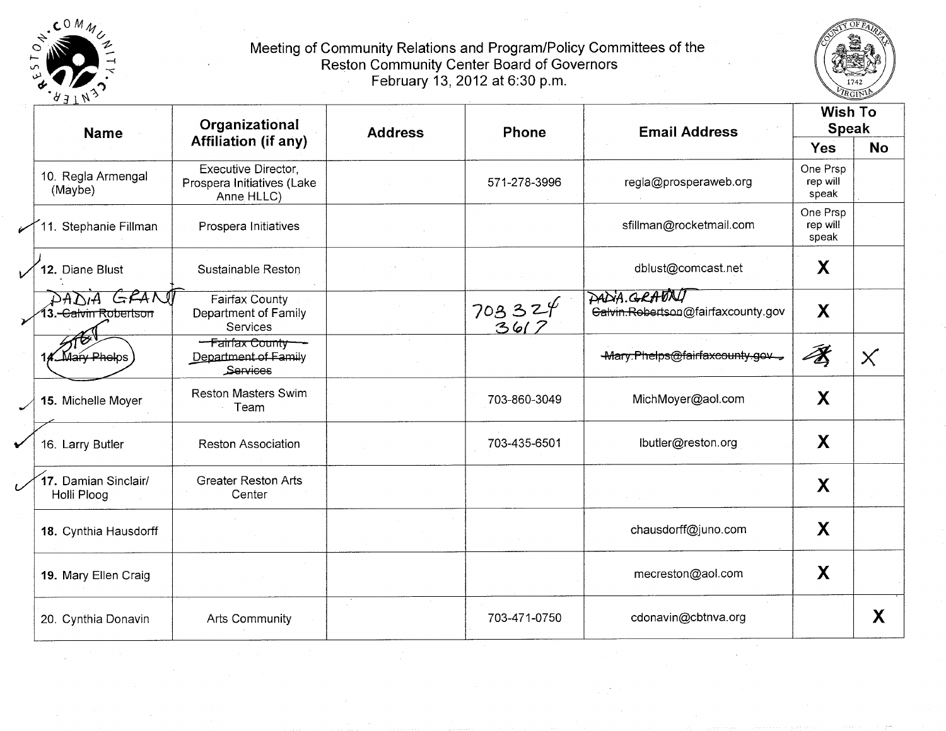



| スコエル<br><b>Name</b>                  | Organizational                                                  | <b>Address</b> | Phone            | <b>Email Address</b>                               | <b>Wish To</b><br><b>Speak</b> |           |
|--------------------------------------|-----------------------------------------------------------------|----------------|------------------|----------------------------------------------------|--------------------------------|-----------|
|                                      | <b>Affiliation (if any)</b>                                     |                |                  |                                                    | <b>Yes</b>                     | <b>No</b> |
| 10. Regla Armengal<br>(Maybe)        | Executive Director,<br>Prospera Initiatives (Lake<br>Anne HLLC) |                | 571-278-3996     | regla@prosperaweb.org                              | One Prsp<br>rep will<br>speak  |           |
| 1. Stephanie Fillman                 | Prospera Initiatives                                            |                |                  | sfillman@rocketmail.com                            | One Prsp<br>rep will<br>speak  |           |
| 12. Diane Blust                      | Sustainable Reston                                              |                |                  | dblust@comcast.net                                 | X                              |           |
| GRANT<br><del>Salvin Robertson</del> | Fairfax County<br>Department of Family<br>Services              |                | $703324$<br>3617 | PADIA.GRADNI<br>Galvin.Rebertson@fairfaxcounty.gov | X                              |           |
| กับคุณ Phelps                        | -Fairfax County<br>Department of Family<br>Services             |                |                  | -Mary.Phelps@fairfaxcounty.gov                     | 孝                              | $\times$  |
| 15. Michelle Moyer                   | <b>Reston Masters Swim</b><br>Team                              |                | 703-860-3049     | MichMoyer@aol.com                                  | X                              |           |
| 16. Larry Butler                     | <b>Reston Association</b>                                       |                | 703-435-6501     | lbutler@reston.org                                 | X                              |           |
| 17. Damian Sinclair/<br>Holli Ploog  | <b>Greater Reston Arts</b><br>Center                            |                |                  |                                                    | X                              |           |
| 18. Cynthia Hausdorff                |                                                                 |                |                  | chausdorff@juno.com                                | X                              |           |
| 19. Mary Ellen Craig                 |                                                                 |                |                  | mecreston@aol.com                                  | X                              |           |
| 20. Cynthia Donavin                  | Arts Community                                                  |                | 703-471-0750     | cdonavin@cbtnva.org                                |                                | X         |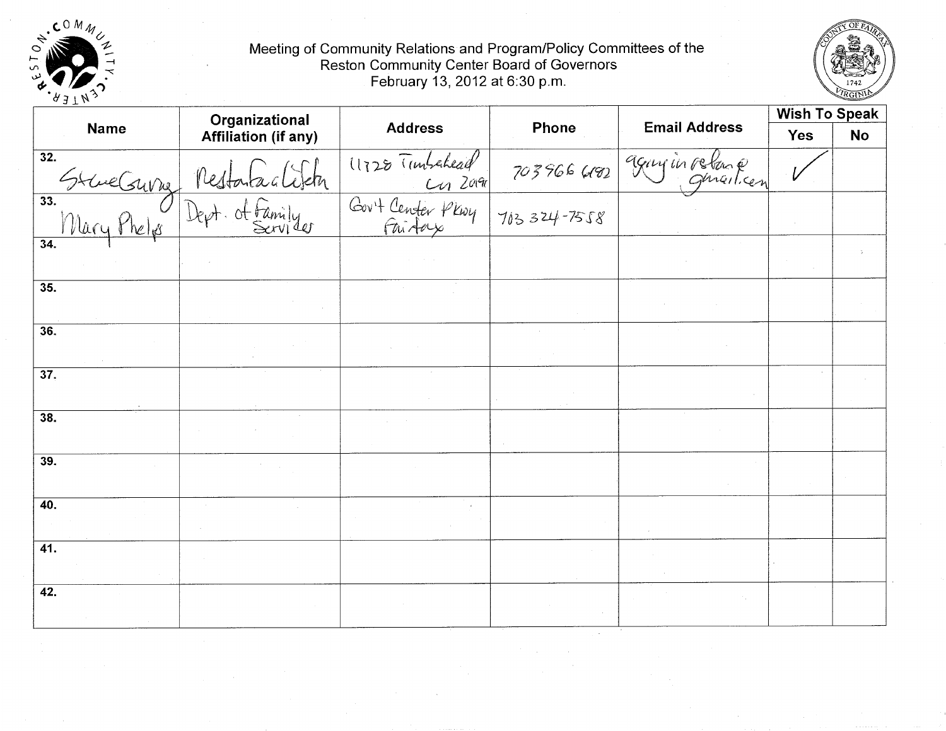



|                   | Organizational                  |                                                            |                 |                              | <b>Wish To Speak</b> |           |
|-------------------|---------------------------------|------------------------------------------------------------|-----------------|------------------------------|----------------------|-----------|
| <b>Name</b>       | <b>Affiliation (if any)</b>     | <b>Address</b><br>Phone                                    |                 | <b>Email Address</b>         | <b>Yes</b>           | <b>No</b> |
| 32.               |                                 | 11728 Tunbehead<br>Cur Zora<br>Gort Center Plwy<br>Gui Aas |                 | 703966 6182 9 Guy in relence |                      |           |
|                   | 33. Mary Phelps Dept. of Family |                                                            | $703324 - 7558$ |                              |                      |           |
| $\overline{34}$ . |                                 |                                                            |                 |                              |                      |           |
| 35.               |                                 |                                                            |                 |                              |                      |           |
| 36.               |                                 |                                                            |                 |                              |                      |           |
| $\overline{37}$ . |                                 |                                                            |                 |                              |                      |           |
| 38.               |                                 |                                                            |                 |                              |                      |           |
| 39.               |                                 |                                                            |                 |                              |                      |           |
| 40.               |                                 |                                                            |                 |                              |                      |           |
| $\overline{41}$ . |                                 |                                                            |                 |                              |                      |           |
| 42.               |                                 |                                                            |                 |                              |                      |           |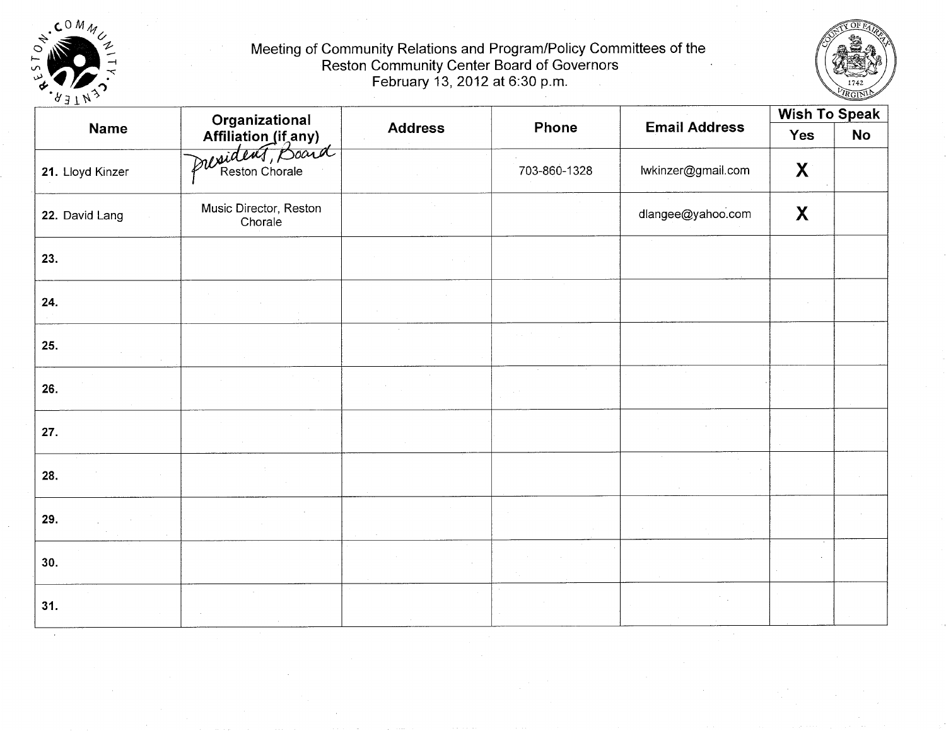



| ヘコエル             |                                                           |                |              |                      | <b>Wish To Speak</b> |           |
|------------------|-----------------------------------------------------------|----------------|--------------|----------------------|----------------------|-----------|
| <b>Name</b>      |                                                           | <b>Address</b> | Phone        | <b>Email Address</b> | Yes                  | <b>No</b> |
| 21. Lloyd Kinzer | Organizational<br>Affiliation (if any)<br>Pusident, power |                | 703-860-1328 | lwkinzer@gmail.com   | $\mathbf{X}$         |           |
| 22. David Lang   | Music Director, Reston<br>Chorale                         |                |              | dlangee@yahoo.com    | X                    |           |
| 23.              |                                                           |                |              |                      |                      |           |
| 24.              |                                                           |                |              |                      |                      |           |
| 25.              |                                                           |                |              |                      |                      |           |
| 26.              |                                                           |                |              |                      |                      |           |
| 27.              |                                                           |                |              |                      |                      |           |
| 28.              |                                                           |                |              |                      |                      |           |
| 29.              |                                                           |                |              |                      |                      |           |
| 30.              |                                                           |                |              |                      |                      |           |
| 31.              |                                                           |                |              |                      |                      |           |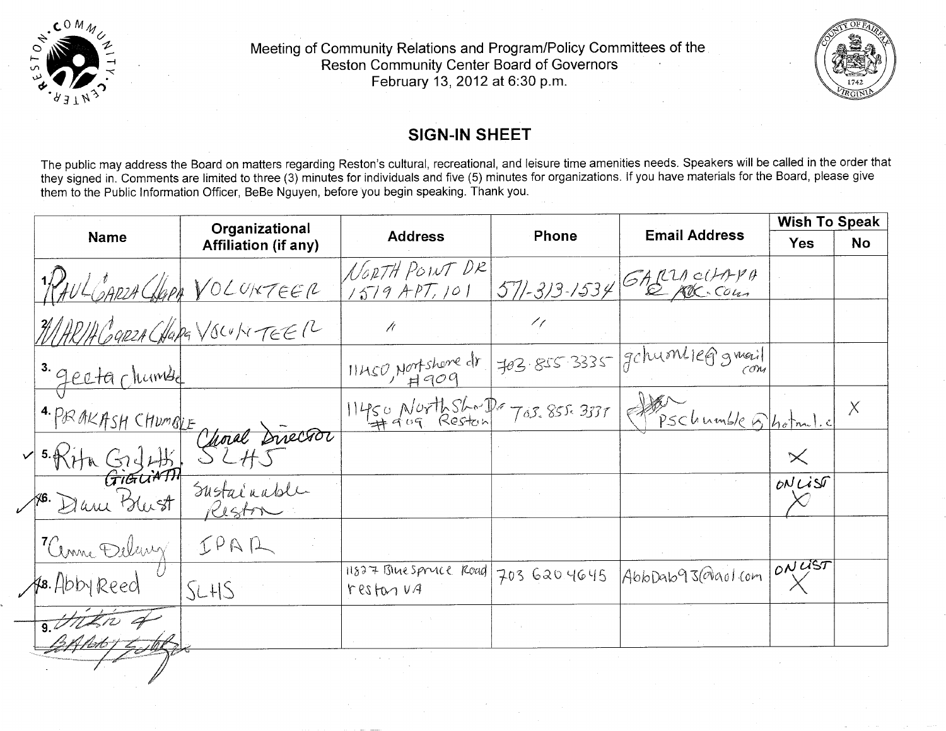



## **SIGN-IN SHEET**

The public may address the Board on matters regarding Reston's cultural, recreational, and leisure time amenities needs. Speakers will be called in the order that they signed in. Comments are limited to three (3) minutes for individuals and five (5) minutes for organizations. If you have materials for the Board, please give them to the Public Information Officer, BeBe Nguyen, before you begin speaking. Thank you.

|                              | Organizational              |                                                         |                                      |                                                           | <b>Wish To Speak</b> |           |
|------------------------------|-----------------------------|---------------------------------------------------------|--------------------------------------|-----------------------------------------------------------|----------------------|-----------|
| <b>Name</b>                  | <b>Affiliation (if any)</b> | <b>Address</b>                                          | <b>Email Address</b><br><b>Phone</b> |                                                           | <b>Yes</b>           | <b>No</b> |
|                              | RAUL CARZA CLOREER          | NORTH POINT DR<br>$1579$ APT, 101                       |                                      | $571 - 313 - 1534$ CARLICHTPA                             |                      |           |
| WHRIA GARZA CHARA VSCULUTEER |                             | Ĥ                                                       | 17                                   |                                                           |                      |           |
| 3. gecta chumbe              |                             | $\frac{11450 \text{ N}^{\text{up}} \text{shore}}{4909}$ |                                      | 703.855.3335 gchuontieggmeil                              |                      |           |
| 4. PRAKASH CHUMBLE           |                             |                                                         |                                      | $11450$ North Shop Tos. 855. 3337 (Steel undle 6) hotml.c |                      | $\chi$    |
| $\frac{5.8776.6244}{G$       | Choral Director             |                                                         |                                      |                                                           | $\times$             |           |
| 16. Dani Blust               | Sustainable<br>Reston       |                                                         |                                      |                                                           | ONLIST               |           |
| "Cenne Delawy                | IPAR                        |                                                         |                                      |                                                           |                      |           |
| HB. Abby Reed                | SLHS                        | 11827 Blue Spruce Road<br>resforva                      | 703 620 4645                         | AbbDab93@aolcom                                           | 10NUST               |           |
| $\frac{1}{9}$                |                             |                                                         |                                      |                                                           |                      |           |
|                              |                             |                                                         |                                      |                                                           |                      |           |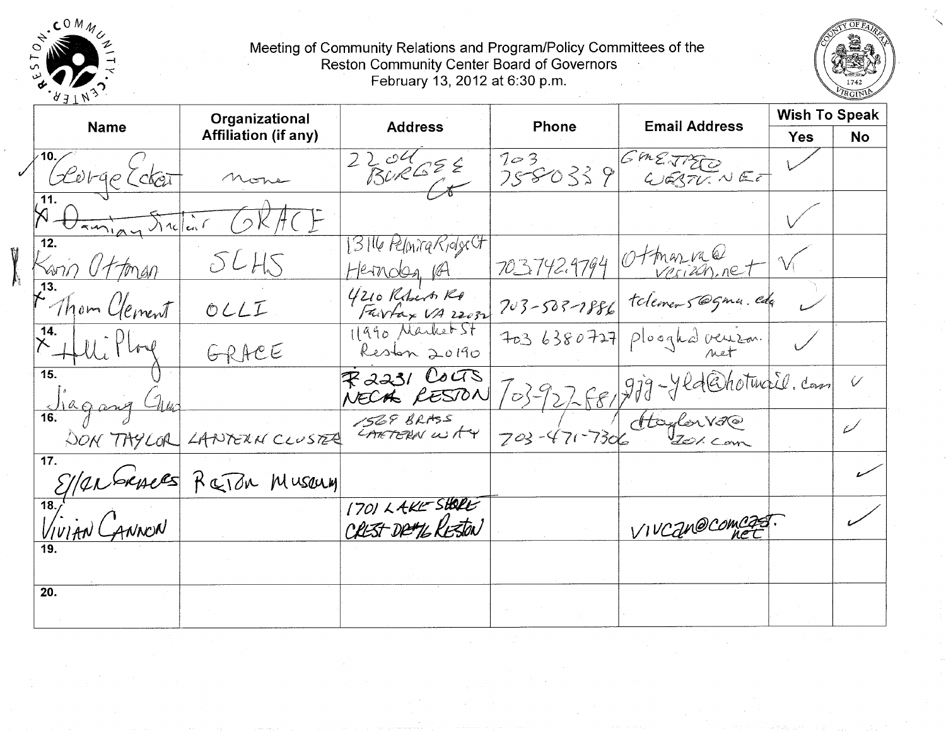



|                                  | Organizational              |                                       |                   |                                | <b>Wish To Speak</b> |              |
|----------------------------------|-----------------------------|---------------------------------------|-------------------|--------------------------------|----------------------|--------------|
| <b>Name</b>                      | <b>Affiliation (if any)</b> | <b>Address</b>                        | Phone             | <b>Email Address</b>           | <b>Yes</b>           | <b>No</b>    |
| George Ecker                     |                             | 2204055                               | 703<br>7580339    | GMETTEE<br>WEBTUNEE            |                      |              |
| 11.<br>Vanign Stellar            |                             |                                       |                   |                                |                      |              |
| $\overline{12}$ .<br>Sann Uttman | SLHS                        | T3Tl6 PelonicaRidge CF<br>Hernden, PA |                   | 703742.9794 Ottman vale        |                      |              |
| 13.<br>Ahom Clement              | OLLI                        | 4210 Reberts Re                       |                   | 703-503-1886 telemens@gma.edg  |                      |              |
| 14.                              | GRACE                       | 1990 Market St<br>Reston 20190        | 7036380727        | Ploghd veuzon.                 |                      |              |
| $\overline{15}$ .<br>Jagary      |                             | $R$ 2231 Couts<br>NECAL RESTON        |                   | 703-927-88/219-Yld@hotmail.com |                      | $\checkmark$ |
|                                  | DON TAYLOR LANTERN CLUSTER  | 1569 BRASS<br>CARTERN WAY             | $703 - 471 - 730$ | Atoylor V2@                    |                      | W            |
| 17.                              | S/anbruces RaTon Museum     |                                       |                   |                                |                      |              |
| $\overline{18}$<br>VIVIAN CANNON |                             | 1701 LAKE SHORE<br>CREST DRUTE RESTON |                   | VIVCan@comcast.                |                      |              |
|                                  |                             |                                       |                   |                                |                      |              |
| 20.                              |                             |                                       |                   |                                |                      |              |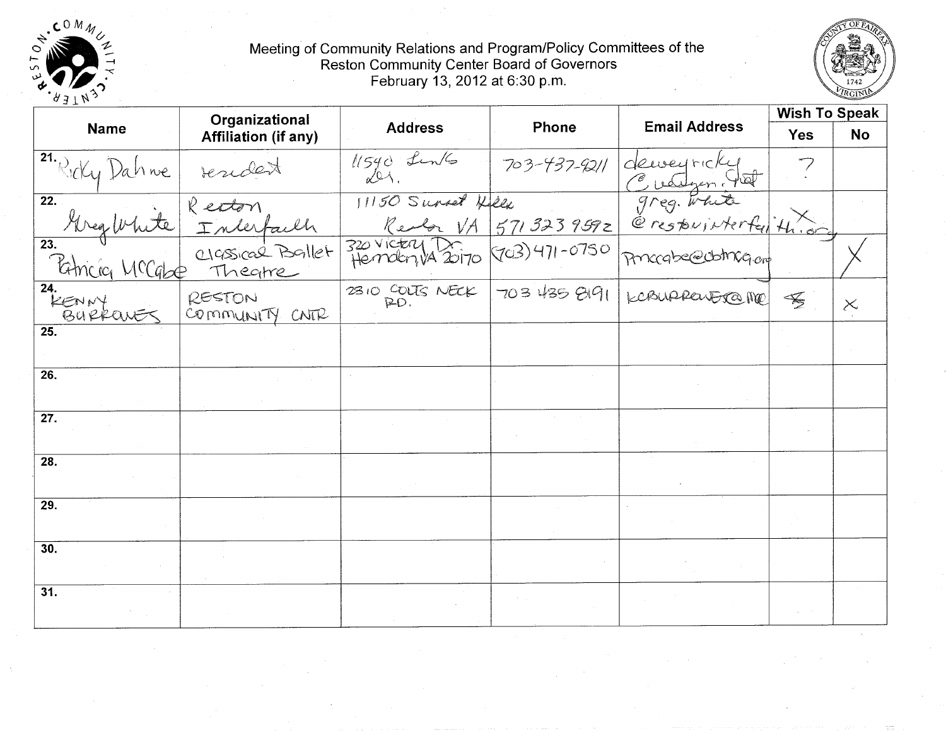



| ヘコナル              | Organizational                                                                                                                                                      |                                    |       |                                                                                                                                                                 | <b>Wish To Speak</b>        |           |
|-------------------|---------------------------------------------------------------------------------------------------------------------------------------------------------------------|------------------------------------|-------|-----------------------------------------------------------------------------------------------------------------------------------------------------------------|-----------------------------|-----------|
| <b>Name</b>       | <b>Affiliation (if any)</b>                                                                                                                                         | <b>Address</b>                     | Phone | <b>Email Address</b>                                                                                                                                            | <b>Yes</b>                  | <b>No</b> |
|                   |                                                                                                                                                                     | $\frac{1}{540}$ fin/s 703-437-9211 |       | 11540 Lunts 703-437-9211 deueyricky<br>11150 Survet Hele greg. White<br>Reder VA 5713239592 @restwinterfulth.org<br>Jemetry 20170 703)471-0750 pricade@ddmg.org |                             |           |
|                   |                                                                                                                                                                     |                                    |       |                                                                                                                                                                 |                             |           |
|                   | 21. Ricky Dahme resident<br>22. Areg White Inderfacen<br>23. Areg White Inderfacen<br>23. Burkey MCCgbe Theorie<br>24. Burkey RESTON<br>24. Burkey's COMMUNITY CNTR |                                    |       |                                                                                                                                                                 |                             |           |
|                   |                                                                                                                                                                     |                                    |       | 2310 COUTS NECK 703 435 8191 KCBURRENEROME                                                                                                                      | $\mathcal{F}_{\mathcal{F}}$ | $\times$  |
| $\overline{25}$ . |                                                                                                                                                                     |                                    |       |                                                                                                                                                                 |                             |           |
| $\overline{26}$ . |                                                                                                                                                                     |                                    |       |                                                                                                                                                                 |                             |           |
| $\overline{27}$ . |                                                                                                                                                                     |                                    |       |                                                                                                                                                                 |                             |           |
| 28.               |                                                                                                                                                                     |                                    |       |                                                                                                                                                                 |                             |           |
| 29.               |                                                                                                                                                                     |                                    |       |                                                                                                                                                                 |                             |           |
| 30.               |                                                                                                                                                                     |                                    |       |                                                                                                                                                                 |                             |           |
| 31.               |                                                                                                                                                                     |                                    |       |                                                                                                                                                                 |                             |           |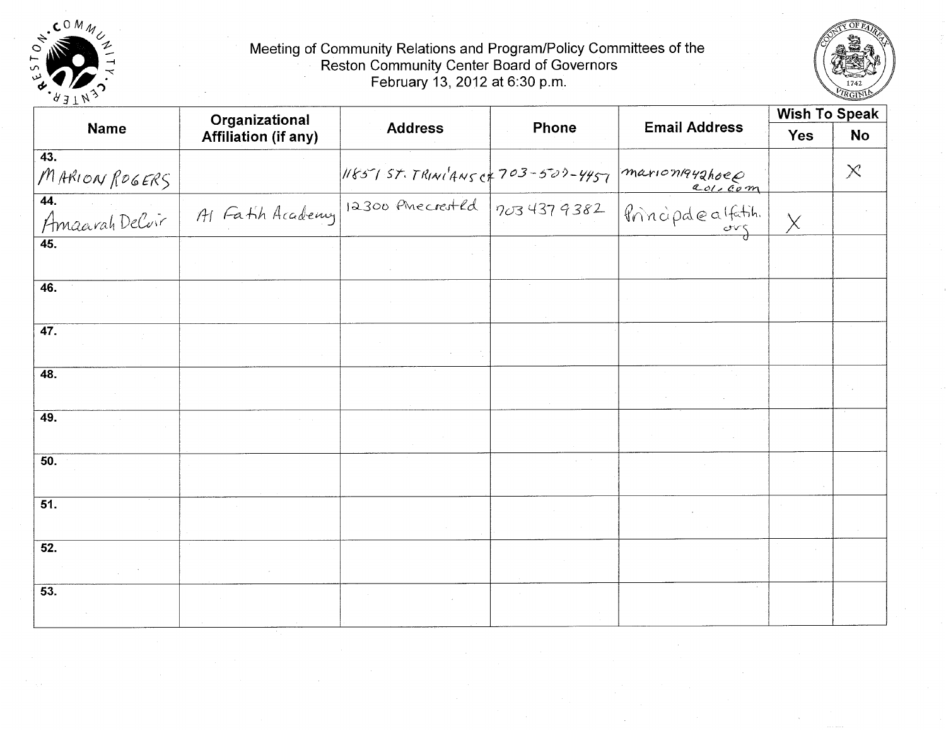



| $-1$ $+$ $+$          | Organizational              |                                                                  |              |                      | <b>Wish To Speak</b> |           |
|-----------------------|-----------------------------|------------------------------------------------------------------|--------------|----------------------|----------------------|-----------|
| <b>Name</b>           | <b>Affiliation (if any)</b> | <b>Address</b>                                                   | <b>Phone</b> | <b>Email Address</b> | <b>Yes</b>           | <b>No</b> |
| 43.<br>MARION ROGERS  |                             | $118575757$ RINI <sup>1</sup> ANS of 703-500-4457 marion1942hoep |              |                      |                      | $\times$  |
| 44.<br>Amaarah Delvir | Al Fath Academy             | $12300$ Phecreated                                               | 7034379382   | Principaleatatin.    | χ                    |           |
| $\overline{45}$ .     |                             |                                                                  |              |                      |                      |           |
| 46.                   |                             |                                                                  |              |                      |                      |           |
| 47.                   |                             |                                                                  |              |                      |                      |           |
| $\overline{48}$ .     |                             |                                                                  |              |                      |                      |           |
| 49.                   |                             |                                                                  |              |                      |                      |           |
| 50.                   |                             |                                                                  |              |                      |                      |           |
| $\overline{51}$ .     |                             |                                                                  |              |                      |                      |           |
| 52.                   |                             |                                                                  |              |                      |                      |           |
| 53.                   |                             |                                                                  |              |                      |                      |           |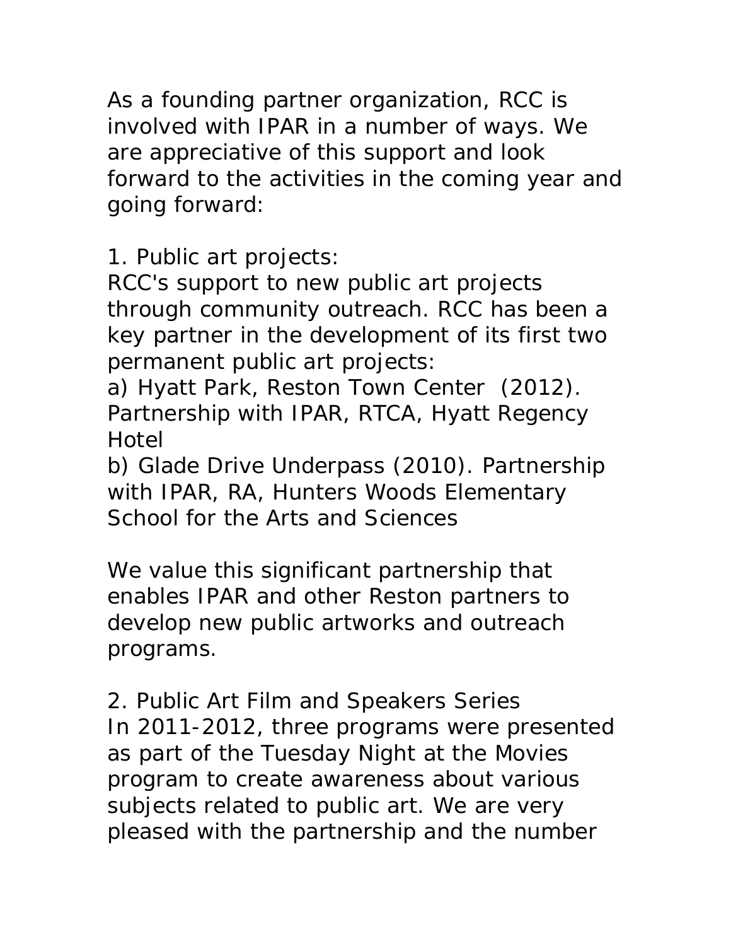As a founding partner organization, RCC is involved with IPAR in a number of ways. We are appreciative of this support and look forward to the activities in the coming year and going forward:

1. Public art projects:

RCC's support to new public art projects through community outreach. RCC has been a key partner in the development of its first two permanent public art projects:

a) Hyatt Park, Reston Town Center (2012). Partnership with IPAR, RTCA, Hyatt Regency Hotel

b) Glade Drive Underpass (2010). Partnership with IPAR, RA, Hunters Woods Elementary School for the Arts and Sciences

We value this significant partnership that enables IPAR and other Reston partners to develop new public artworks and outreach programs.

2. Public Art Film and Speakers Series In 2011-2012, three programs were presented as part of the Tuesday Night at the Movies program to create awareness about various subjects related to public art. We are very pleased with the partnership and the number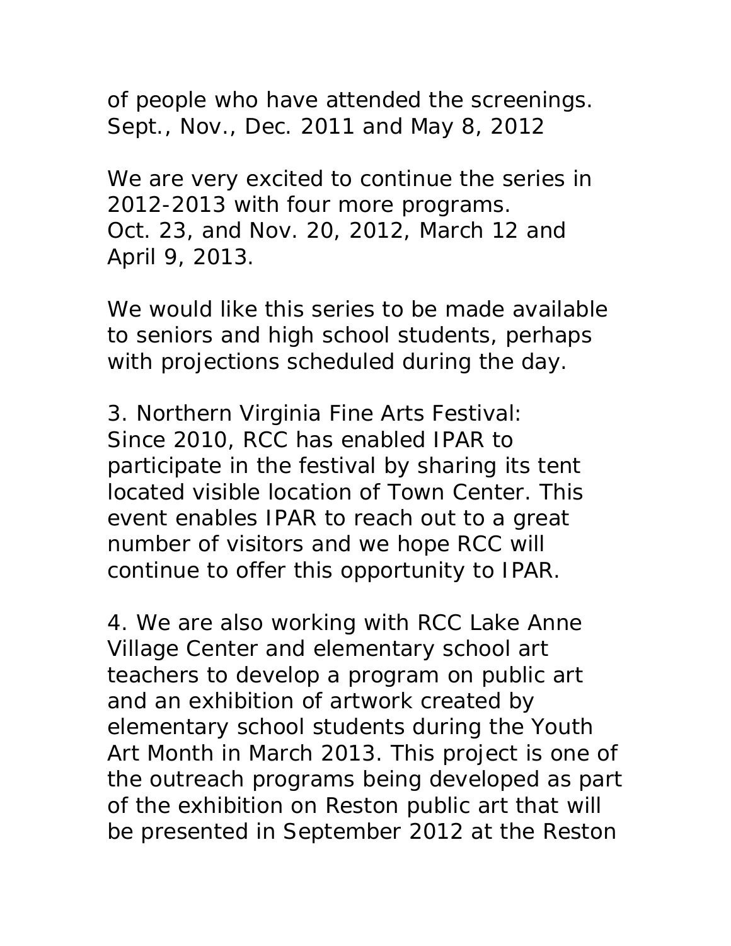of people who have attended the screenings. Sept., Nov., Dec. 2011 and May 8, 2012

We are very excited to continue the series in 2012-2013 with four more programs. Oct. 23, and Nov. 20, 2012, March 12 and April 9, 2013.

We would like this series to be made available to seniors and high school students, perhaps with projections scheduled during the day.

3. Northern Virginia Fine Arts Festival: Since 2010, RCC has enabled IPAR to participate in the festival by sharing its tent located visible location of Town Center. This event enables IPAR to reach out to a great number of visitors and we hope RCC will continue to offer this opportunity to IPAR.

4. We are also working with RCC Lake Anne Village Center and elementary school art teachers to develop a program on public art and an exhibition of artwork created by elementary school students during the Youth Art Month in March 2013. This project is one of the outreach programs being developed as part of the exhibition on Reston public art that will be presented in September 2012 at the Reston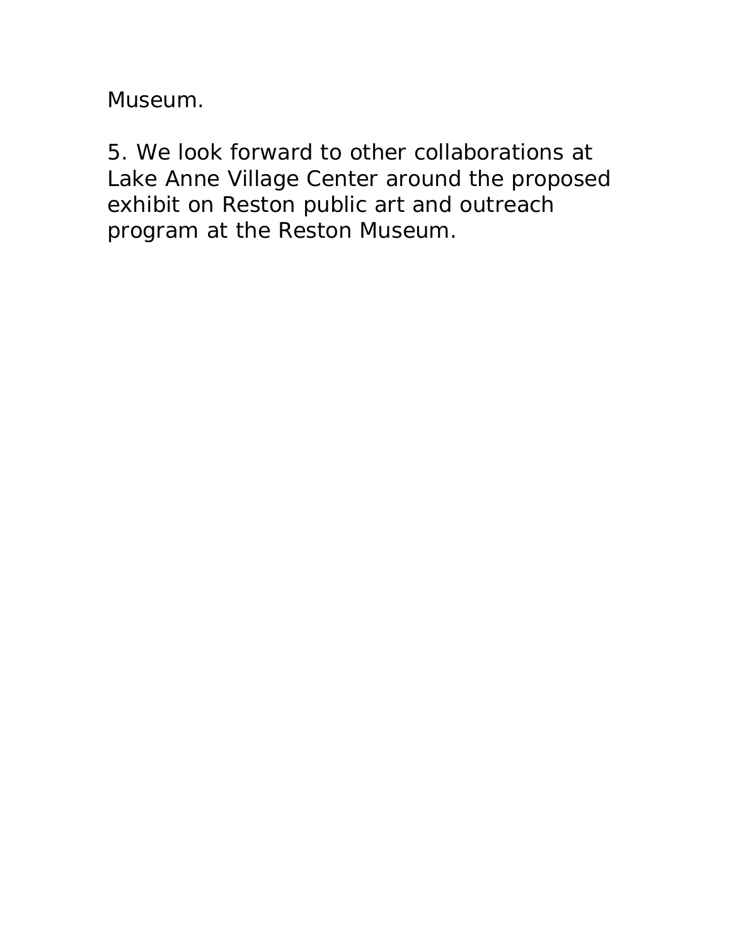Museum.

5. We look forward to other collaborations at Lake Anne Village Center around the proposed exhibit on Reston public art and outreach program at the Reston Museum.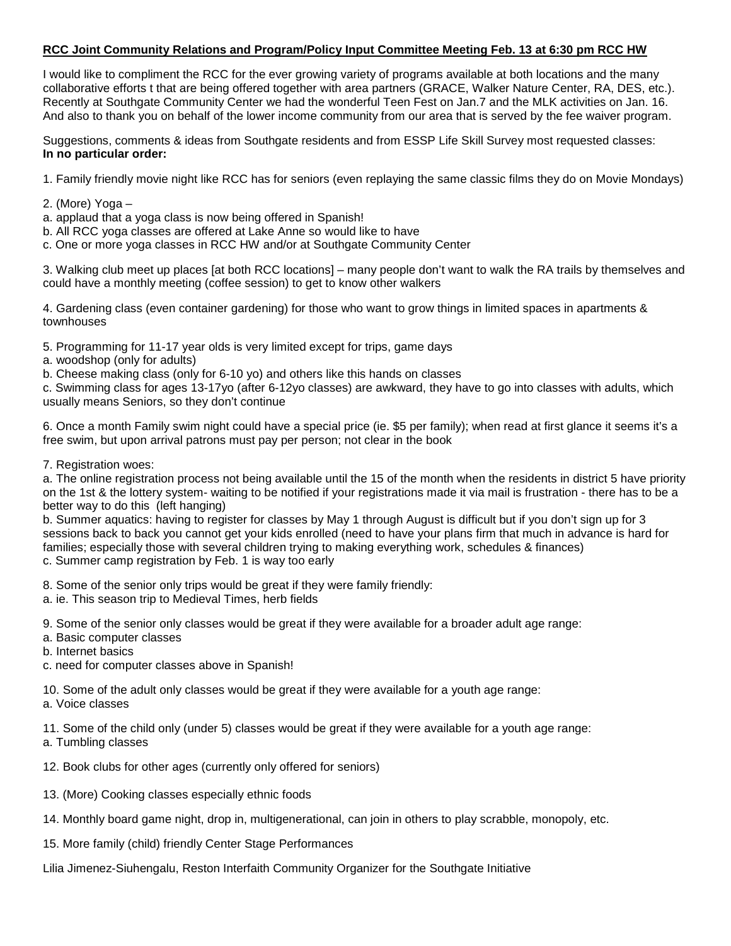## **RCC Joint Community Relations and Program/Policy Input Committee Meeting Feb. 13 at 6:30 pm RCC HW**

I would like to compliment the RCC for the ever growing variety of programs available at both locations and the many collaborative efforts t that are being offered together with area partners (GRACE, Walker Nature Center, RA, DES, etc.). Recently at Southgate Community Center we had the wonderful Teen Fest on Jan.7 and the MLK activities on Jan. 16. And also to thank you on behalf of the lower income community from our area that is served by the fee waiver program.

Suggestions, comments & ideas from Southgate residents and from ESSP Life Skill Survey most requested classes: **In no particular order:**

1. Family friendly movie night like RCC has for seniors (even replaying the same classic films they do on Movie Mondays)

- 2. (More) Yoga –
- a. applaud that a yoga class is now being offered in Spanish!
- b. All RCC yoga classes are offered at Lake Anne so would like to have
- c. One or more yoga classes in RCC HW and/or at Southgate Community Center

3. Walking club meet up places [at both RCC locations] – many people don't want to walk the RA trails by themselves and could have a monthly meeting (coffee session) to get to know other walkers

4. Gardening class (even container gardening) for those who want to grow things in limited spaces in apartments & townhouses

5. Programming for 11-17 year olds is very limited except for trips, game days

a. woodshop (only for adults)

b. Cheese making class (only for 6-10 yo) and others like this hands on classes

c. Swimming class for ages 13-17yo (after 6-12yo classes) are awkward, they have to go into classes with adults, which usually means Seniors, so they don't continue

6. Once a month Family swim night could have a special price (ie. \$5 per family); when read at first glance it seems it's a free swim, but upon arrival patrons must pay per person; not clear in the book

#### 7. Registration woes:

a. The online registration process not being available until the 15 of the month when the residents in district 5 have priority on the 1st & the lottery system- waiting to be notified if your registrations made it via mail is frustration - there has to be a better way to do this (left hanging)

b. Summer aquatics: having to register for classes by May 1 through August is difficult but if you don't sign up for 3 sessions back to back you cannot get your kids enrolled (need to have your plans firm that much in advance is hard for families; especially those with several children trying to making everything work, schedules & finances) c. Summer camp registration by Feb. 1 is way too early

8. Some of the senior only trips would be great if they were family friendly:

a. ie. This season trip to Medieval Times, herb fields

9. Some of the senior only classes would be great if they were available for a broader adult age range:

- a. Basic computer classes
- b. Internet basics
- c. need for computer classes above in Spanish!

10. Some of the adult only classes would be great if they were available for a youth age range: a. Voice classes

11. Some of the child only (under 5) classes would be great if they were available for a youth age range: a. Tumbling classes

- 12. Book clubs for other ages (currently only offered for seniors)
- 13. (More) Cooking classes especially ethnic foods
- 14. Monthly board game night, drop in, multigenerational, can join in others to play scrabble, monopoly, etc.
- 15. More family (child) friendly Center Stage Performances

Lilia Jimenez-Siuhengalu, Reston Interfaith Community Organizer for the Southgate Initiative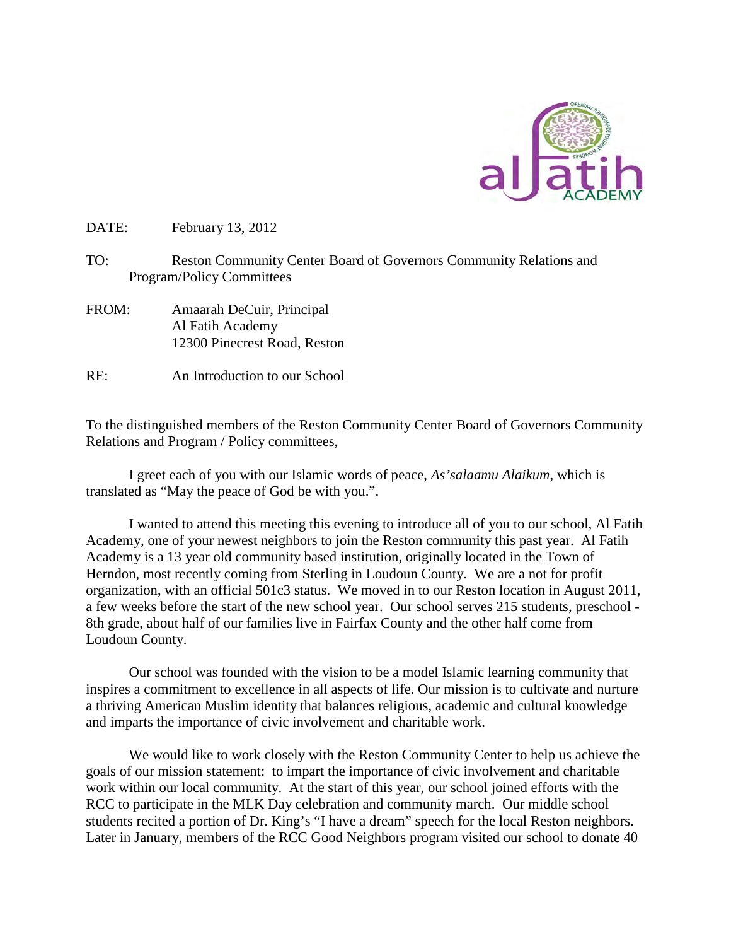

DATE: February 13, 2012

- TO: Reston Community Center Board of Governors Community Relations and Program/Policy Committees
- FROM: Amaarah DeCuir, Principal Al Fatih Academy 12300 Pinecrest Road, Reston
- RE: An Introduction to our School

To the distinguished members of the Reston Community Center Board of Governors Community Relations and Program / Policy committees,

I greet each of you with our Islamic words of peace, *As'salaamu Alaikum*, which is translated as "May the peace of God be with you.".

I wanted to attend this meeting this evening to introduce all of you to our school, Al Fatih Academy, one of your newest neighbors to join the Reston community this past year. Al Fatih Academy is a 13 year old community based institution, originally located in the Town of Herndon, most recently coming from Sterling in Loudoun County. We are a not for profit organization, with an official 501c3 status. We moved in to our Reston location in August 2011, a few weeks before the start of the new school year. Our school serves 215 students, preschool - 8th grade, about half of our families live in Fairfax County and the other half come from Loudoun County.

Our school was founded with the vision to be a model Islamic learning community that inspires a commitment to excellence in all aspects of life. Our mission is to cultivate and nurture a thriving American Muslim identity that balances religious, academic and cultural knowledge and imparts the importance of civic involvement and charitable work.

We would like to work closely with the Reston Community Center to help us achieve the goals of our mission statement: to impart the importance of civic involvement and charitable work within our local community. At the start of this year, our school joined efforts with the RCC to participate in the MLK Day celebration and community march. Our middle school students recited a portion of Dr. King's "I have a dream" speech for the local Reston neighbors. Later in January, members of the RCC Good Neighbors program visited our school to donate 40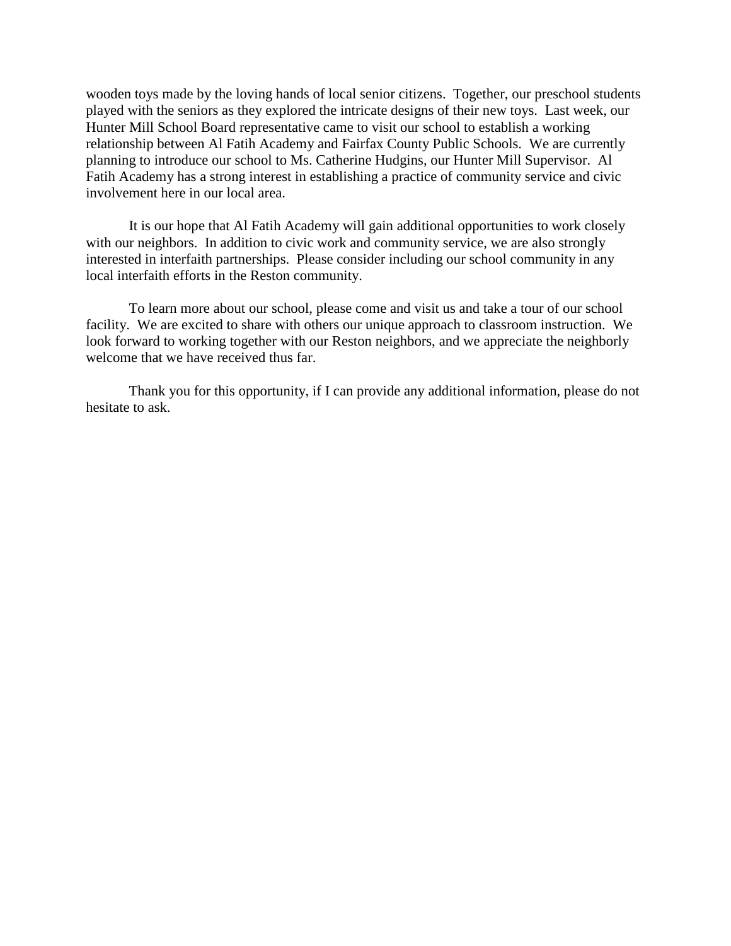wooden toys made by the loving hands of local senior citizens. Together, our preschool students played with the seniors as they explored the intricate designs of their new toys. Last week, our Hunter Mill School Board representative came to visit our school to establish a working relationship between Al Fatih Academy and Fairfax County Public Schools. We are currently planning to introduce our school to Ms. Catherine Hudgins, our Hunter Mill Supervisor. Al Fatih Academy has a strong interest in establishing a practice of community service and civic involvement here in our local area.

It is our hope that Al Fatih Academy will gain additional opportunities to work closely with our neighbors. In addition to civic work and community service, we are also strongly interested in interfaith partnerships. Please consider including our school community in any local interfaith efforts in the Reston community.

To learn more about our school, please come and visit us and take a tour of our school facility. We are excited to share with others our unique approach to classroom instruction. We look forward to working together with our Reston neighbors, and we appreciate the neighborly welcome that we have received thus far.

Thank you for this opportunity, if I can provide any additional information, please do not hesitate to ask.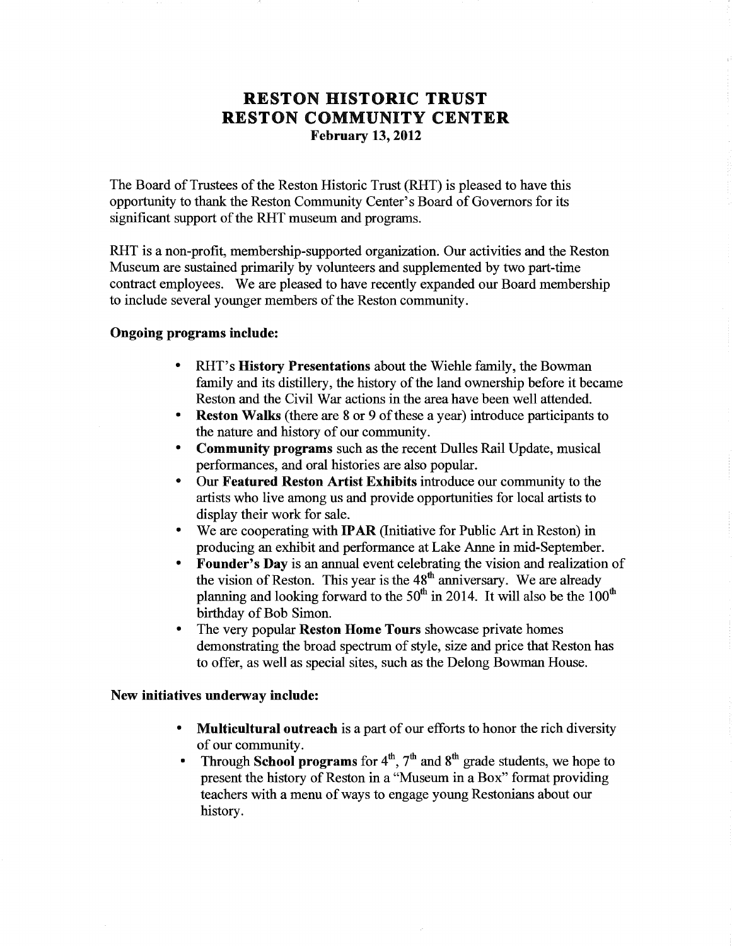## **RESTON HISTORIC TRUST RESTON COMMUNITY CENTER February 13, 2012**

The Board of Trustees of the Reston Historic Trust (RHT) is pleased to have this opportunity to thank the Reston Community Center's Board of Governors for its significant support of the RHT museum and programs.

RHT is a non-profit, membership-supported organization. Our activities and the Reston Museum are sustained primarily by volunteers and supplemented by two part-time contract employees. We are pleased to have recently expanded our Board membership to include several younger members of the Reston community.

## Ongoing programs include:

- RHT's **History Presentations** about the Wiehle family, the Bowman family and its distillery, the history of the land ownership before it became Reston and the Civil War actions in the area have been well attended.
- **Reston Walks** (there are 8 or 9 of these a year) introduce participants to the nature and history of our community.
- **Community programs** such as the recent Dulles Rail Update, musical performances, and oral histories are also popular.
- Our Featured Reston Artist Exhibits introduce our community to the artists who live among us and provide opportunities for local artists to display their work for sale.
- We are cooperating with **IPAR** (Initiative for Public Art in Reston) in producing an exhibit and performance at Lake Anne in mid-September.
- Founder's Day is an annual event celebrating the vision and realization of  $\bullet$ the vision of Reston. This year is the 48<sup>th</sup> anniversary. We are already planning and looking forward to the  $50<sup>th</sup>$  in 2014. It will also be the  $100<sup>th</sup>$ birthday of Bob Simon.
- The very popular **Reston Home Tours** showcase private homes  $\bullet$ demonstrating the broad spectrum of style, size and price that Reston has to offer, as well as special sites, such as the Delong Bowman House.

## New initiatives underway include:

- **Multicultural outreach** is a part of our efforts to honor the rich diversity of our community.
- Through School programs for  $4^{th}$ ,  $7^{th}$  and  $8^{th}$  grade students, we hope to present the history of Reston in a "Museum in a Box" format providing teachers with a menu of ways to engage young Restonians about our history.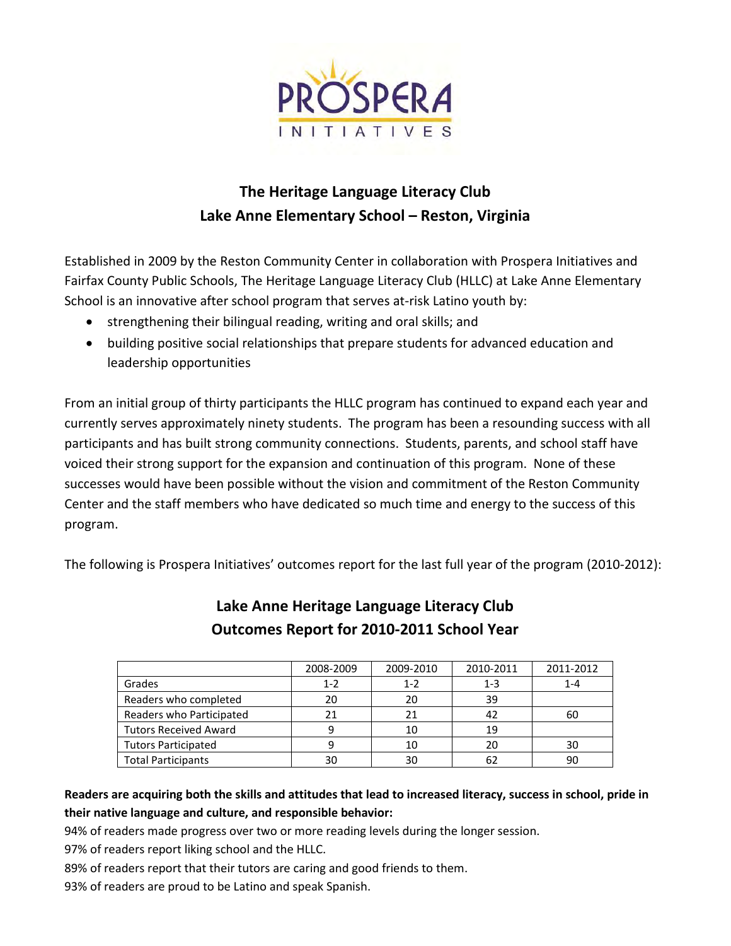

# **The Heritage Language Literacy Club Lake Anne Elementary School – Reston, Virginia**

Established in 2009 by the Reston Community Center in collaboration with Prospera Initiatives and Fairfax County Public Schools, The Heritage Language Literacy Club (HLLC) at Lake Anne Elementary School is an innovative after school program that serves at-risk Latino youth by:

- strengthening their bilingual reading, writing and oral skills; and
- building positive social relationships that prepare students for advanced education and leadership opportunities

From an initial group of thirty participants the HLLC program has continued to expand each year and currently serves approximately ninety students. The program has been a resounding success with all participants and has built strong community connections. Students, parents, and school staff have voiced their strong support for the expansion and continuation of this program. None of these successes would have been possible without the vision and commitment of the Reston Community Center and the staff members who have dedicated so much time and energy to the success of this program.

The following is Prospera Initiatives' outcomes report for the last full year of the program (2010-2012):

|                              | 2008-2009 | 2009-2010 | 2010-2011 | 2011-2012 |
|------------------------------|-----------|-----------|-----------|-----------|
| Grades                       | $1 - 2$   | $1 - 2$   | $1 - 3$   | $1 - 4$   |
| Readers who completed        | 20        | 20        | 39        |           |
| Readers who Participated     | 21        | 21        | 42        | 60        |
| <b>Tutors Received Award</b> | 9         | 10        | 19        |           |
| <b>Tutors Participated</b>   |           | 10        | 20        | 30        |
| <b>Total Participants</b>    | 30        | 30        | 62        | 90        |

## **Lake Anne Heritage Language Literacy Club Outcomes Report for 2010-2011 School Year**

**Readers are acquiring both the skills and attitudes that lead to increased literacy, success in school, pride in their native language and culture, and responsible behavior:**

94% of readers made progress over two or more reading levels during the longer session.

- 97% of readers report liking school and the HLLC.
- 89% of readers report that their tutors are caring and good friends to them.
- 93% of readers are proud to be Latino and speak Spanish.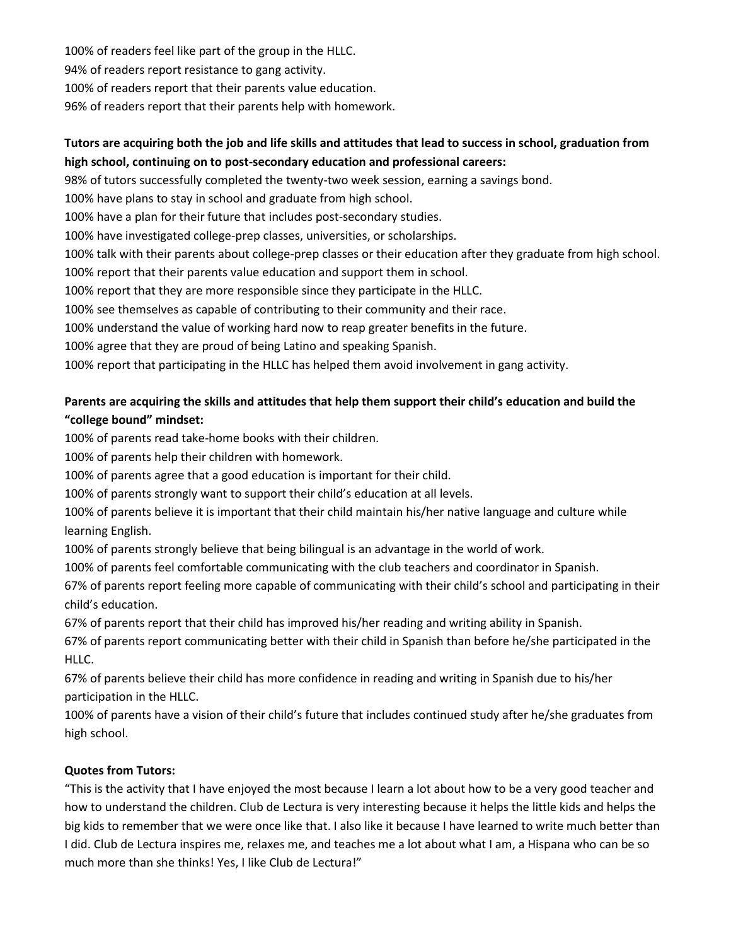100% of readers feel like part of the group in the HLLC. 94% of readers report resistance to gang activity. 100% of readers report that their parents value education. 96% of readers report that their parents help with homework.

## **Tutors are acquiring both the job and life skills and attitudes that lead to success in school, graduation from high school, continuing on to post-secondary education and professional careers:**

98% of tutors successfully completed the twenty-two week session, earning a savings bond.

100% have plans to stay in school and graduate from high school.

100% have a plan for their future that includes post-secondary studies.

100% have investigated college-prep classes, universities, or scholarships.

100% talk with their parents about college-prep classes or their education after they graduate from high school.

100% report that their parents value education and support them in school.

100% report that they are more responsible since they participate in the HLLC.

100% see themselves as capable of contributing to their community and their race.

100% understand the value of working hard now to reap greater benefits in the future.

100% agree that they are proud of being Latino and speaking Spanish.

100% report that participating in the HLLC has helped them avoid involvement in gang activity.

## **Parents are acquiring the skills and attitudes that help them support their child's education and build the "college bound" mindset:**

100% of parents read take-home books with their children.

100% of parents help their children with homework.

100% of parents agree that a good education is important for their child.

100% of parents strongly want to support their child's education at all levels.

100% of parents believe it is important that their child maintain his/her native language and culture while learning English.

100% of parents strongly believe that being bilingual is an advantage in the world of work.

100% of parents feel comfortable communicating with the club teachers and coordinator in Spanish.

67% of parents report feeling more capable of communicating with their child's school and participating in their child's education.

67% of parents report that their child has improved his/her reading and writing ability in Spanish.

67% of parents report communicating better with their child in Spanish than before he/she participated in the HLLC.

67% of parents believe their child has more confidence in reading and writing in Spanish due to his/her participation in the HLLC.

100% of parents have a vision of their child's future that includes continued study after he/she graduates from high school.

## **Quotes from Tutors:**

"This is the activity that I have enjoyed the most because I learn a lot about how to be a very good teacher and how to understand the children. Club de Lectura is very interesting because it helps the little kids and helps the big kids to remember that we were once like that. I also like it because I have learned to write much better than I did. Club de Lectura inspires me, relaxes me, and teaches me a lot about what I am, a Hispana who can be so much more than she thinks! Yes, I like Club de Lectura!"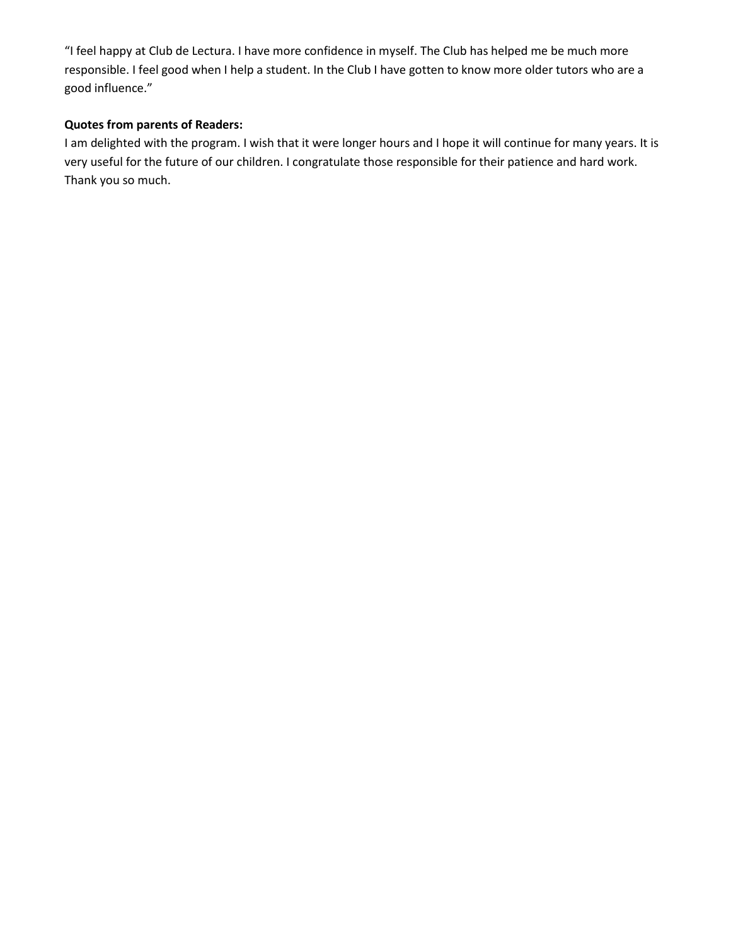"I feel happy at Club de Lectura. I have more confidence in myself. The Club has helped me be much more responsible. I feel good when I help a student. In the Club I have gotten to know more older tutors who are a good influence."

## **Quotes from parents of Readers:**

I am delighted with the program. I wish that it were longer hours and I hope it will continue for many years. It is very useful for the future of our children. I congratulate those responsible for their patience and hard work. Thank you so much.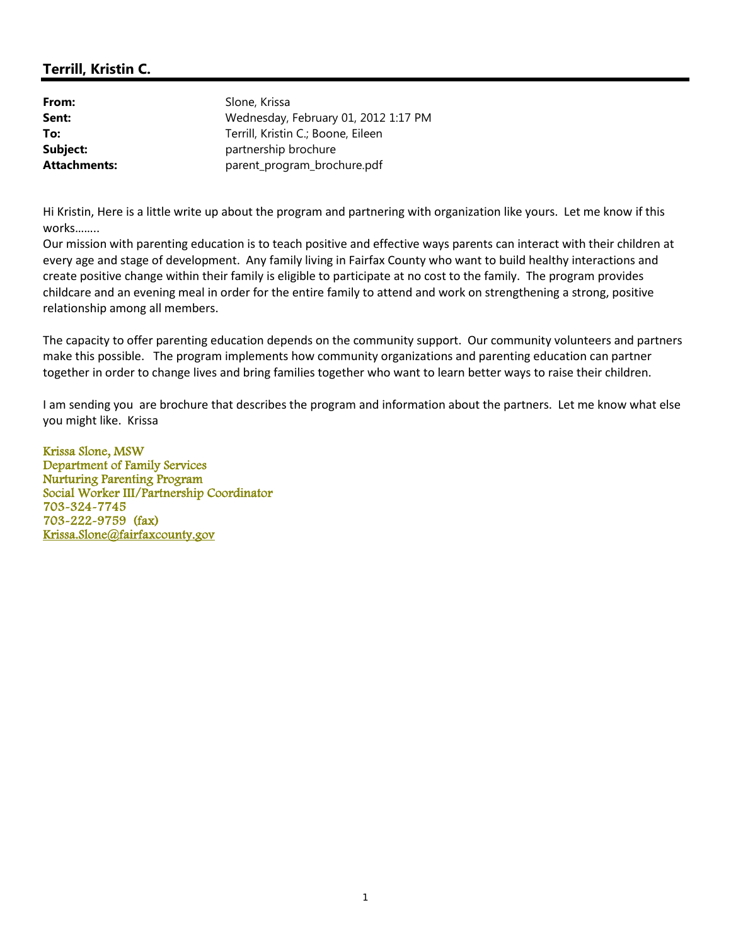| From:               | Slone, Krissa                        |
|---------------------|--------------------------------------|
| Sent:               | Wednesday, February 01, 2012 1:17 PM |
| To:                 | Terrill, Kristin C.; Boone, Eileen   |
| Subject:            | partnership brochure                 |
| <b>Attachments:</b> | parent_program_brochure.pdf          |

Hi Kristin, Here is a little write up about the program and partnering with organization like yours. Let me know if this works……..

Our mission with parenting education is to teach positive and effective ways parents can interact with their children at every age and stage of development. Any family living in Fairfax County who want to build healthy interactions and create positive change within their family is eligible to participate at no cost to the family. The program provides childcare and an evening meal in order for the entire family to attend and work on strengthening a strong, positive relationship among all members.

The capacity to offer parenting education depends on the community support. Our community volunteers and partners make this possible. The program implements how community organizations and parenting education can partner together in order to change lives and bring families together who want to learn better ways to raise their children.

I am sending you are brochure that describes the program and information about the partners. Let me know what else you might like. Krissa

Krissa Slone, MSW Department of Family Services Nurturing Parenting Program Social Worker III/Partnership Coordinator 703-324-7745 703-222-9759 (fax) Krissa.Slone@fairfaxcounty.gov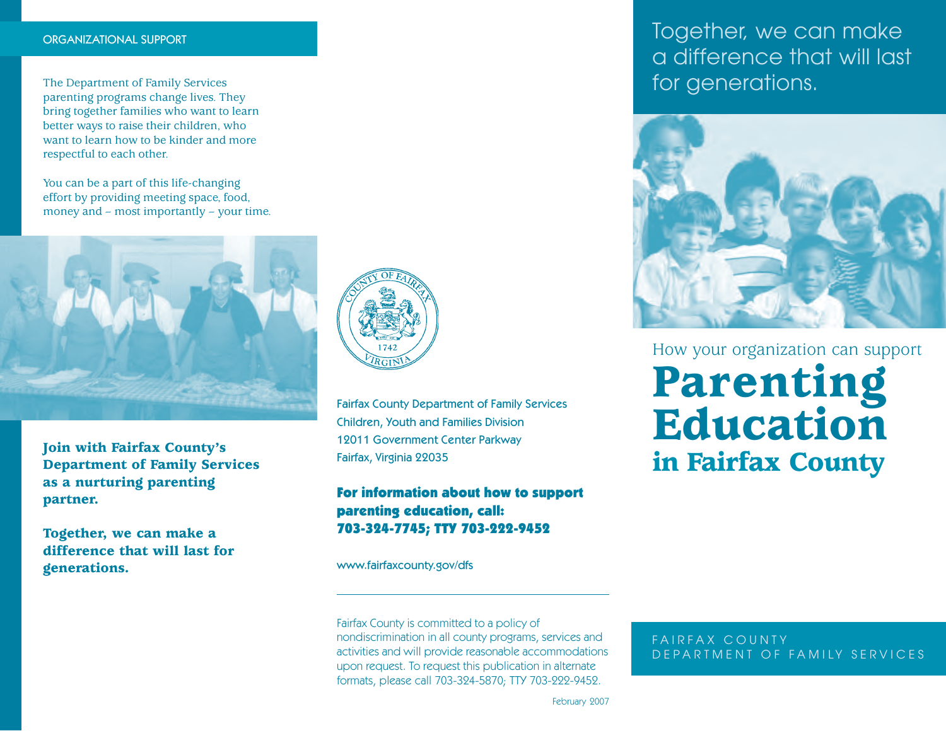#### ORGANIZATIONAL SUPPORT

The Department of Family Services parenting programs change lives. They bring together families who want to learn better ways to raise their children, who want to learn how to be kinder and more respectful to each other.

You can be a part of this life-changing effort by providing meeting space, food, money and – most importantly – your time.



**Join with Fairfax County's Department of Family Services as a nurturing parenting partner.**

**Together, we can make a difference that will last for generations.**



Fairfax County Department of Family Services Children, Youth and Families Division 12011 Government Center Parkway Fairfax, Virginia 22035

## For information about how to support parenting education, call: 703-324-7745; TTY 703-222-9452

www.fairfaxcounty.gov/dfs

Fairfax County is committed to a policy of nondiscrimination in all county programs, services and activities and will provide reasonable accommodations upon request. To request this publication in alternate formats, please call 703-324-5870; TTY 703-222-9452.

Together, we can make a difference that will last for generations.



How your organization can support

# **Parenting Education in Fairfax County**

FAIRFAX COUNTY DEPARTMENT OF FAMILY SERVICES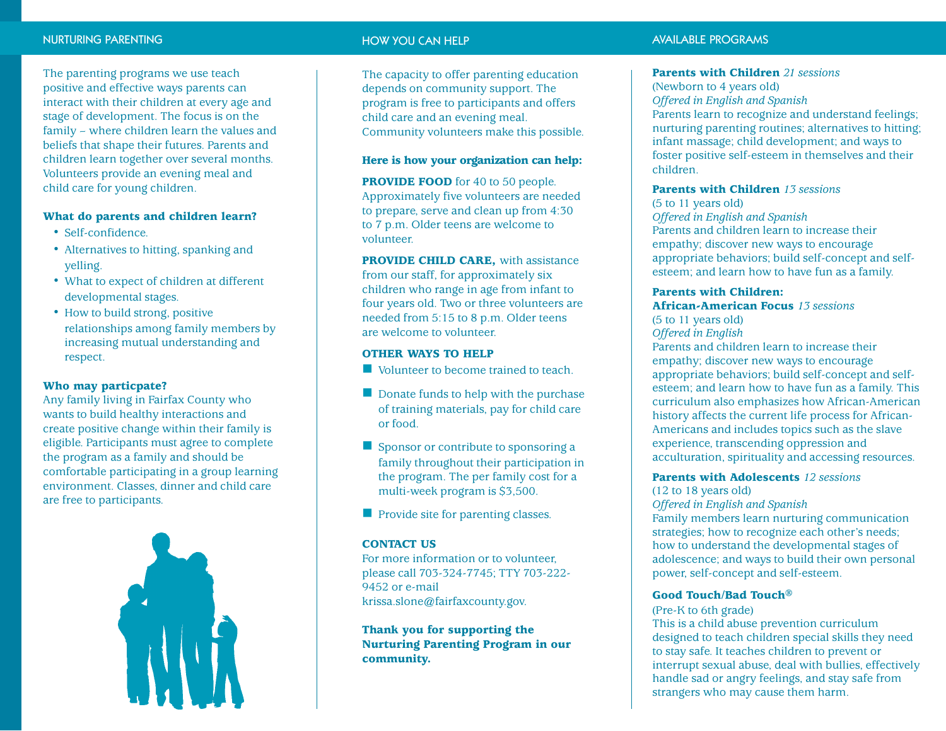#### NURTURING PARENTING

The parenting programs we use teach positive and effective ways parents can interact with their children at every age and stage of development. The focus is on the family – where children learn the values and beliefs that shape their futures. Parents and children learn together over several months. Volunteers provide an evening meal and child care for young children.

#### **What do parents and children learn?**

- Self-confidence.
- Alternatives to hitting, spanking and yelling.
- What to expect of children at different developmental stages.
- How to build strong, positive relationships among family members by increasing mutual understanding and respect.

#### **Who may particpate?**

Any family living in Fairfax County who wants to build healthy interactions and create positive change within their family is eligible. Participants must agree to complete the program as a family and should be comfortable participating in a group learning environment. Classes, dinner and child care are free to participants.



#### HOW YOU CAN HELP

The capacity to offer parenting education depends on community support. The program is free to participants and offers child care and an evening meal. Community volunteers make this possible.

#### **Here is how your organization can help:**

**PROVIDE FOOD** for 40 to 50 people. Approximately five volunteers are needed to prepare, serve and clean up from 4:30 to 7 p.m. Older teens are welcome to volunteer.

**PROVIDE CHILD CARE, with assistance** from our staff, for approximately six children who range in age from infant to four years old. Two or three volunteers are needed from 5:15 to 8 p.m. Older teens are welcome to volunteer.

#### **OTHER WAYS TO HELP**

- Volunteer to become trained to teach.
- Donate funds to help with the purchase of training materials, pay for child care or food.
- Sponsor or contribute to sponsoring a family throughout their participation in the program. The per family cost for a multi-week program is \$3,500.
- **Provide site for parenting classes.**

#### **CONTACT US**

For more information or to volunteer, please call 703-324-7745; TTY 703-222- 9452 or e-mail krissa.slone@fairfaxcounty.gov.

## **Thank you for supporting the Nurturing Parenting Program in our community.**

#### AVAILABLE PROGRAMS

#### **Parents with Children** *21 sessions*

(Newborn to 4 years old) *Offered in English and Spanish* Parents learn to recognize and understand feelings; nurturing parenting routines; alternatives to hitting; infant massage; child development; and ways to foster positive self-esteem in themselves and their children.

## **Parents with Children** *13 sessions*

(5 to 11 years old) *Offered in English and Spanish* Parents and children learn to increase their empathy; discover new ways to encourage appropriate behaviors; build self-concept and selfesteem; and learn how to have fun as a family.

#### **Parents with Children:**

**African-American Focus** *13 sessions* (5 to 11 years old) *Offered in English* Parents and children learn to increase their empathy; discover new ways to encourage appropriate behaviors; build self-concept and selfesteem; and learn how to have fun as a family. This curriculum also emphasizes how African-American history affects the current life process for African-Americans and includes topics such as the slave experience, transcending oppression and acculturation, spirituality and accessing resources.

#### **Parents with Adolescents** *12 sessions*

(12 to 18 years old)

## *Offered in English and Spanish*

Family members learn nurturing communication strategies; how to recognize each other's needs; how to understand the developmental stages of adolescence; and ways to build their own personal power, self-concept and self-esteem.

#### **Good Touch/Bad Touch ®**

#### (Pre-K to 6th grade)

This is a child abuse prevention curriculum designed to teach children special skills they need to stay safe. It teaches children to prevent or interrupt sexual abuse, deal with bullies, effectively handle sad or angry feelings, and stay safe from strangers who may cause them harm.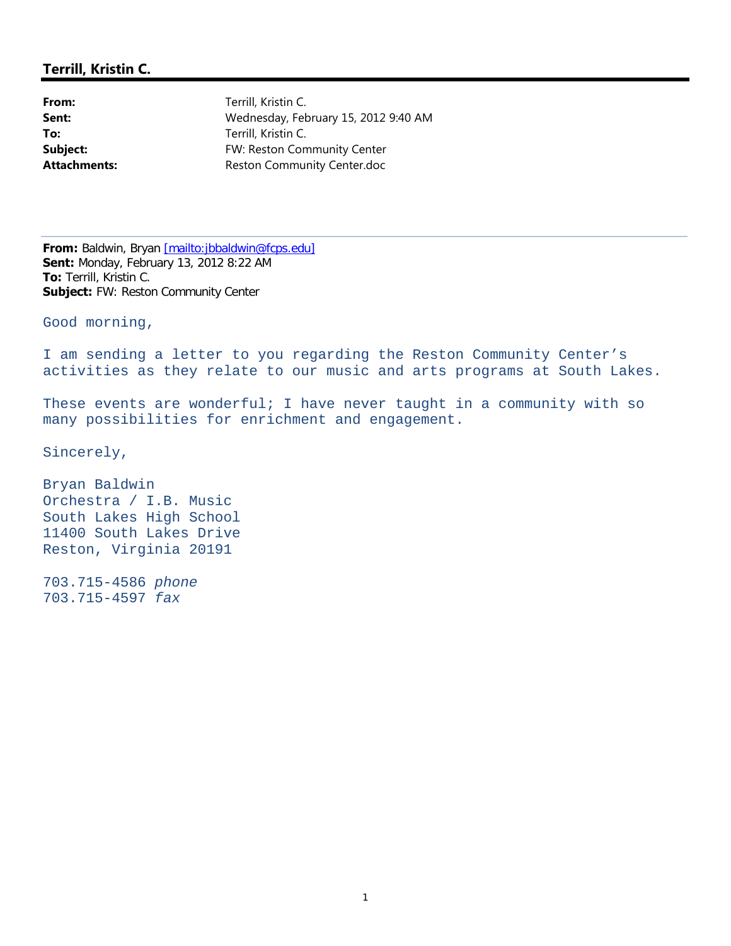From: Terrill, Kristin C. **Sent:** Wednesday, February 15, 2012 9:40 AM **To:** Terrill, Kristin C. **Subject:** FW: Reston Community Center Attachments: Reston Community Center.doc

**From:** Baldwin, Bryan [mailto:jbbaldwin@fcps.edu] **Sent:** Monday, February 13, 2012 8:22 AM **To:** Terrill, Kristin C. **Subject:** FW: Reston Community Center

Good morning,

I am sending a letter to you regarding the Reston Community Center's activities as they relate to our music and arts programs at South Lakes.

These events are wonderful; I have never taught in a community with so many possibilities for enrichment and engagement.

Sincerely,

Bryan Baldwin Orchestra / I.B. Music South Lakes High School 11400 South Lakes Drive Reston, Virginia 20191

703.715-4586 *phone* 703.715-4597 *fax*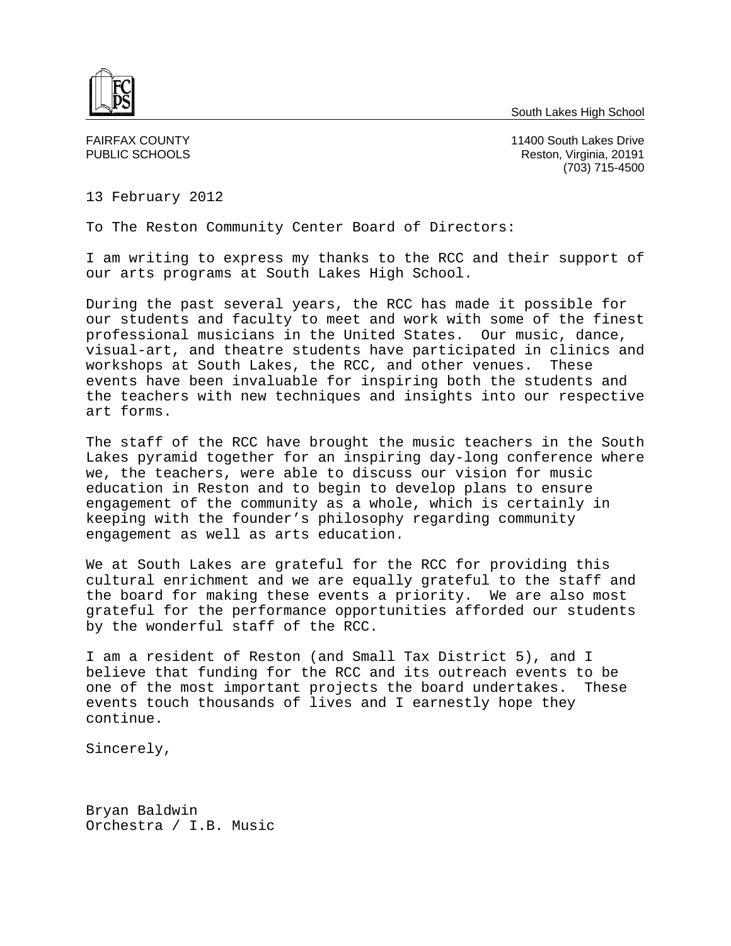South Lakes High School



FAIRFAX COUNTY 11400 South Lakes Drive PUBLIC SCHOOLS **Reston, Virginia, 20191** (703) 715-4500

13 February 2012

To The Reston Community Center Board of Directors:

I am writing to express my thanks to the RCC and their support of our arts programs at South Lakes High School.

During the past several years, the RCC has made it possible for our students and faculty to meet and work with some of the finest professional musicians in the United States. Our music, dance, visual-art, and theatre students have participated in clinics and workshops at South Lakes, the RCC, and other venues. These events have been invaluable for inspiring both the students and the teachers with new techniques and insights into our respective art forms.

The staff of the RCC have brought the music teachers in the South Lakes pyramid together for an inspiring day-long conference where we, the teachers, were able to discuss our vision for music education in Reston and to begin to develop plans to ensure engagement of the community as a whole, which is certainly in keeping with the founder's philosophy regarding community engagement as well as arts education.

We at South Lakes are grateful for the RCC for providing this cultural enrichment and we are equally grateful to the staff and the board for making these events a priority. We are also most grateful for the performance opportunities afforded our students by the wonderful staff of the RCC.

I am a resident of Reston (and Small Tax District 5), and I believe that funding for the RCC and its outreach events to be one of the most important projects the board undertakes. These events touch thousands of lives and I earnestly hope they continue.

Sincerely,

Bryan Baldwin Orchestra / I.B. Music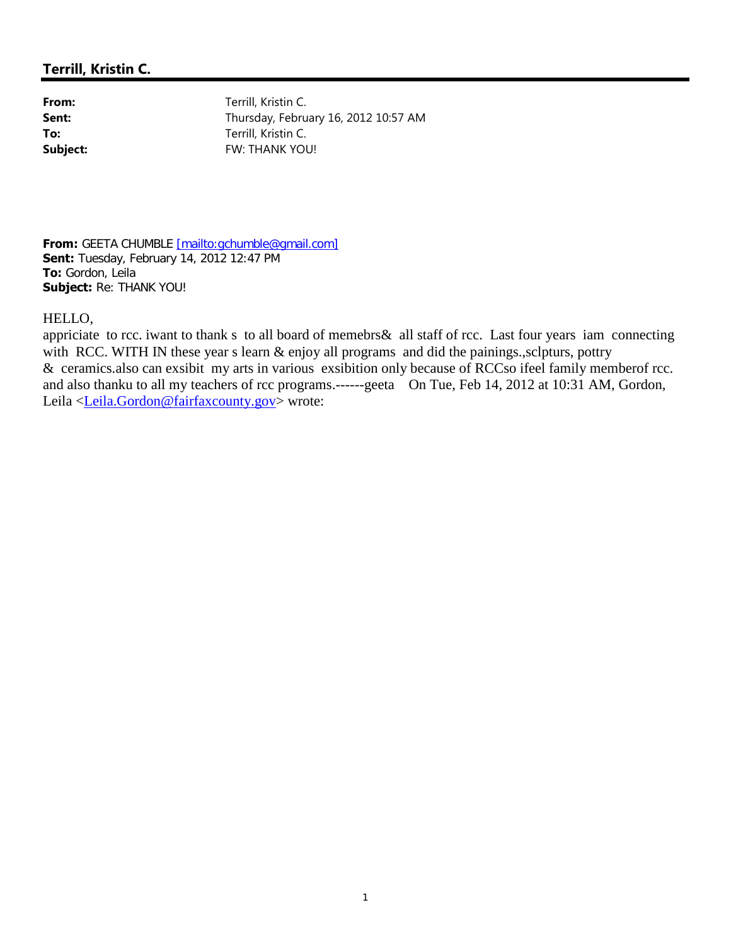From: Terrill, Kristin C. **Sent:** Thursday, February 16, 2012 10:57 AM **To:** Terrill, Kristin C. **Subject:** FW: THANK YOU!

**From:** GEETA CHUMBLE [mailto:gchumble@gmail.com] **Sent:** Tuesday, February 14, 2012 12:47 PM **To:** Gordon, Leila **Subject:** Re: THANK YOU!

## HELLO,

appriciate to rcc. iwant to thank s to all board of memebrs& all staff of rcc. Last four years iam connecting with RCC. WITH IN these year s learn  $\&$  enjoy all programs and did the painings., sclpturs, pottry & ceramics.also can exsibit my arts in various exsibition only because of RCCso ifeel family memberof rcc. and also thanku to all my teachers of rcc programs.------geeta On Tue, Feb 14, 2012 at 10:31 AM, Gordon, Leila <Leila.Gordon@fairfaxcounty.gov> wrote: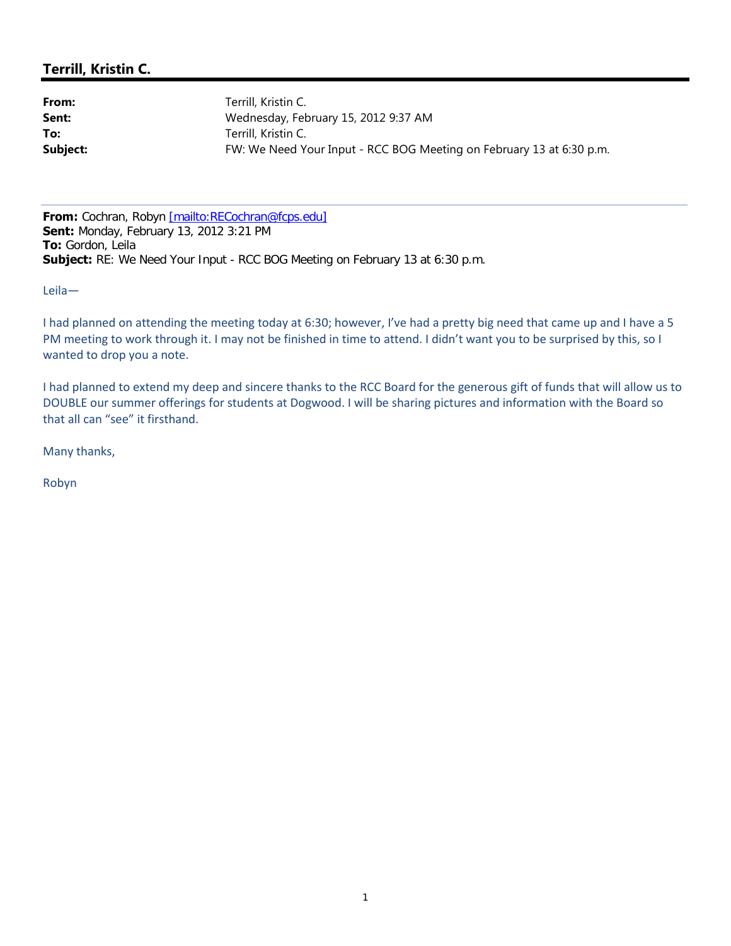From: Terrill, Kristin C. **Sent:** Wednesday, February 15, 2012 9:37 AM **To:** Terrill, Kristin C. **Subject:** FW: We Need Your Input - RCC BOG Meeting on February 13 at 6:30 p.m.

From: Cochran, Robyn [mailto:RECochran@fcps.edu] **Sent:** Monday, February 13, 2012 3:21 PM **To:** Gordon, Leila **Subject:** RE: We Need Your Input - RCC BOG Meeting on February 13 at 6:30 p.m.

Leila—

I had planned on attending the meeting today at 6:30; however, I've had a pretty big need that came up and I have a 5 PM meeting to work through it. I may not be finished in time to attend. I didn't want you to be surprised by this, so I wanted to drop you a note.

I had planned to extend my deep and sincere thanks to the RCC Board for the generous gift of funds that will allow us to DOUBLE our summer offerings for students at Dogwood. I will be sharing pictures and information with the Board so that all can "see" it firsthand.

Many thanks,

Robyn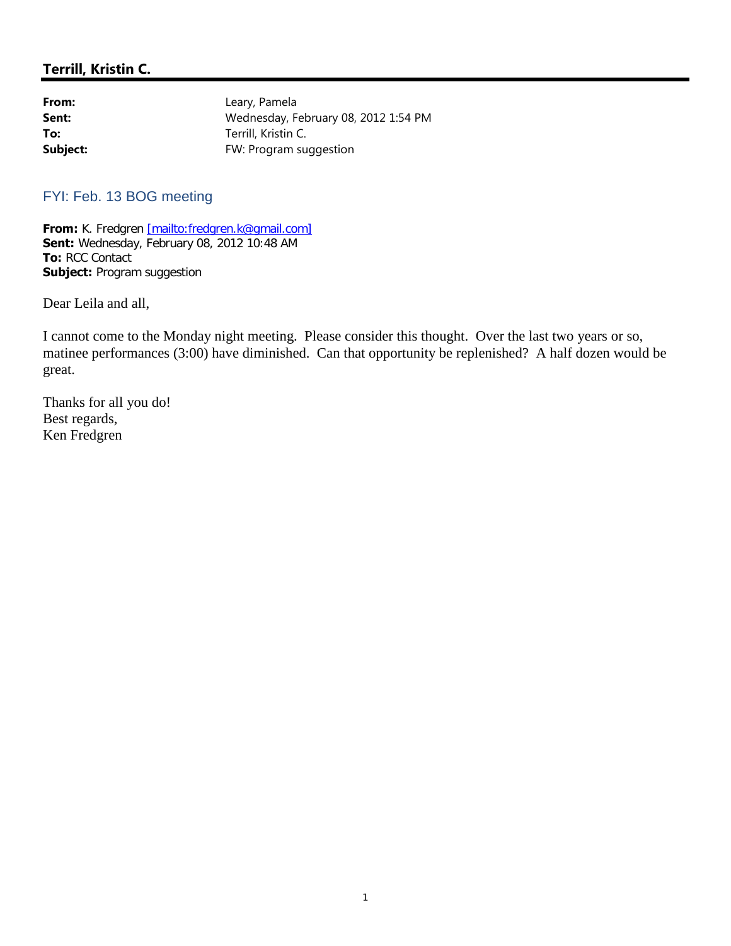| From:    | Leary, Pamela                        |
|----------|--------------------------------------|
| Sent:    | Wednesday, February 08, 2012 1:54 PM |
| To:      | Terrill, Kristin C.                  |
| Subject: | FW: Program suggestion               |

## FYI: Feb. 13 BOG meeting

**From:** K. Fredgren [mailto:fredgren.k@gmail.com] **Sent:** Wednesday, February 08, 2012 10:48 AM **To:** RCC Contact **Subject: Program suggestion** 

Dear Leila and all,

I cannot come to the Monday night meeting. Please consider this thought. Over the last two years or so, matinee performances (3:00) have diminished. Can that opportunity be replenished? A half dozen would be great.

Thanks for all you do! Best regards, Ken Fredgren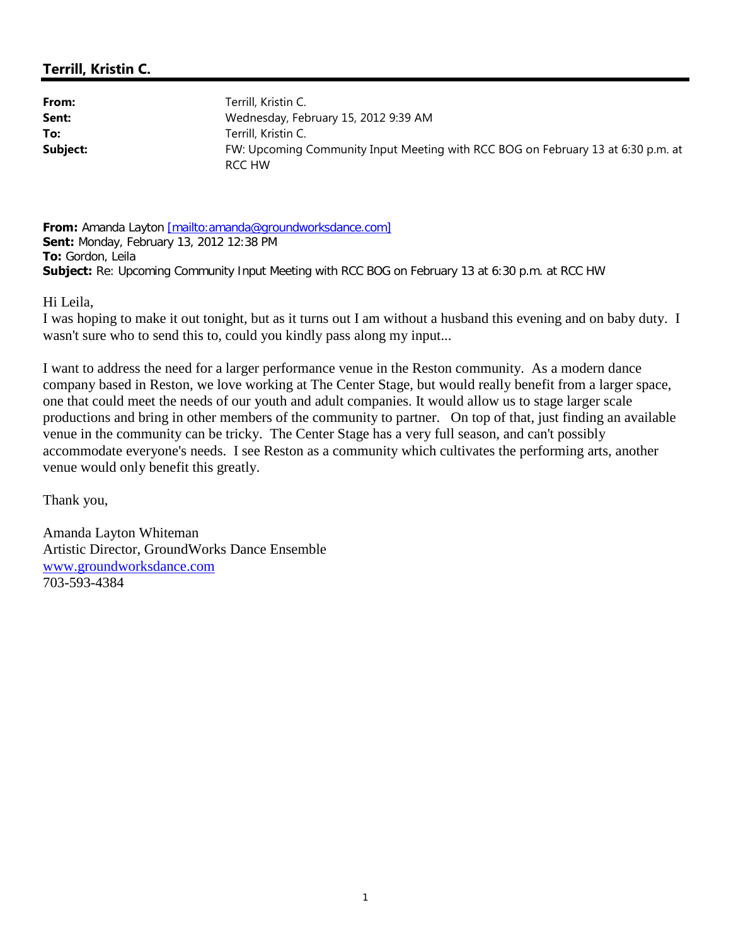From: Terrill, Kristin C. **Sent:** Wednesday, February 15, 2012 9:39 AM **To:** Terrill, Kristin C. **Subject:** FW: Upcoming Community Input Meeting with RCC BOG on February 13 at 6:30 p.m. at RCC HW

**From:** Amanda Layton [mailto:amanda@groundworksdance.com] **Sent:** Monday, February 13, 2012 12:38 PM **To:** Gordon, Leila **Subject:** Re: Upcoming Community Input Meeting with RCC BOG on February 13 at 6:30 p.m. at RCC HW

Hi Leila,

I was hoping to make it out tonight, but as it turns out I am without a husband this evening and on baby duty. I wasn't sure who to send this to, could you kindly pass along my input...

I want to address the need for a larger performance venue in the Reston community. As a modern dance company based in Reston, we love working at The Center Stage, but would really benefit from a larger space, one that could meet the needs of our youth and adult companies. It would allow us to stage larger scale productions and bring in other members of the community to partner. On top of that, just finding an available venue in the community can be tricky. The Center Stage has a very full season, and can't possibly accommodate everyone's needs. I see Reston as a community which cultivates the performing arts, another venue would only benefit this greatly.

Thank you,

Amanda Layton Whiteman Artistic Director, GroundWorks Dance Ensemble www.groundworksdance.com 703-593-4384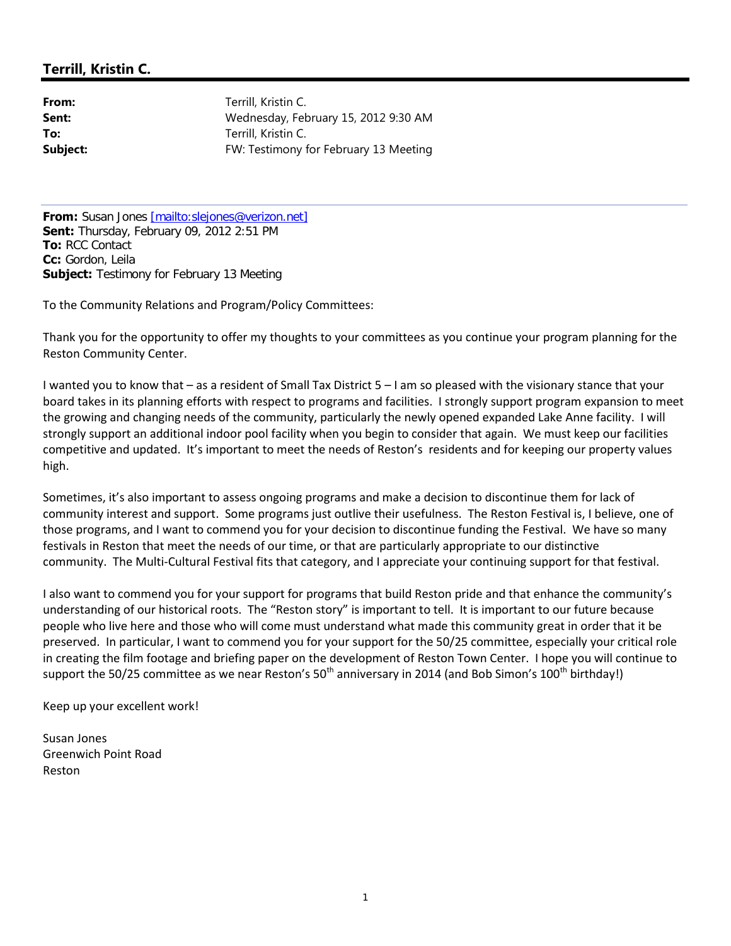From: Terrill, Kristin C. **Sent:** Wednesday, February 15, 2012 9:30 AM **To:** Terrill, Kristin C. **Subject:** FW: Testimony for February 13 Meeting

**From:** Susan Jones [mailto:slejones@verizon.net] **Sent:** Thursday, February 09, 2012 2:51 PM **To:** RCC Contact **Cc:** Gordon, Leila **Subject:** Testimony for February 13 Meeting

To the Community Relations and Program/Policy Committees:

Thank you for the opportunity to offer my thoughts to your committees as you continue your program planning for the Reston Community Center.

I wanted you to know that – as a resident of Small Tax District 5 – I am so pleased with the visionary stance that your board takes in its planning efforts with respect to programs and facilities. I strongly support program expansion to meet the growing and changing needs of the community, particularly the newly opened expanded Lake Anne facility. I will strongly support an additional indoor pool facility when you begin to consider that again. We must keep our facilities competitive and updated. It's important to meet the needs of Reston's residents and for keeping our property values high.

Sometimes, it's also important to assess ongoing programs and make a decision to discontinue them for lack of community interest and support. Some programs just outlive their usefulness. The Reston Festival is, I believe, one of those programs, and I want to commend you for your decision to discontinue funding the Festival. We have so many festivals in Reston that meet the needs of our time, or that are particularly appropriate to our distinctive community. The Multi-Cultural Festival fits that category, and I appreciate your continuing support for that festival.

I also want to commend you for your support for programs that build Reston pride and that enhance the community's understanding of our historical roots. The "Reston story" is important to tell. It is important to our future because people who live here and those who will come must understand what made this community great in order that it be preserved. In particular, I want to commend you for your support for the 50/25 committee, especially your critical role in creating the film footage and briefing paper on the development of Reston Town Center. I hope you will continue to support the 50/25 committee as we near Reston's  $50<sup>th</sup>$  anniversary in 2014 (and Bob Simon's 100<sup>th</sup> birthday!)

Keep up your excellent work!

Susan Jones Greenwich Point Road Reston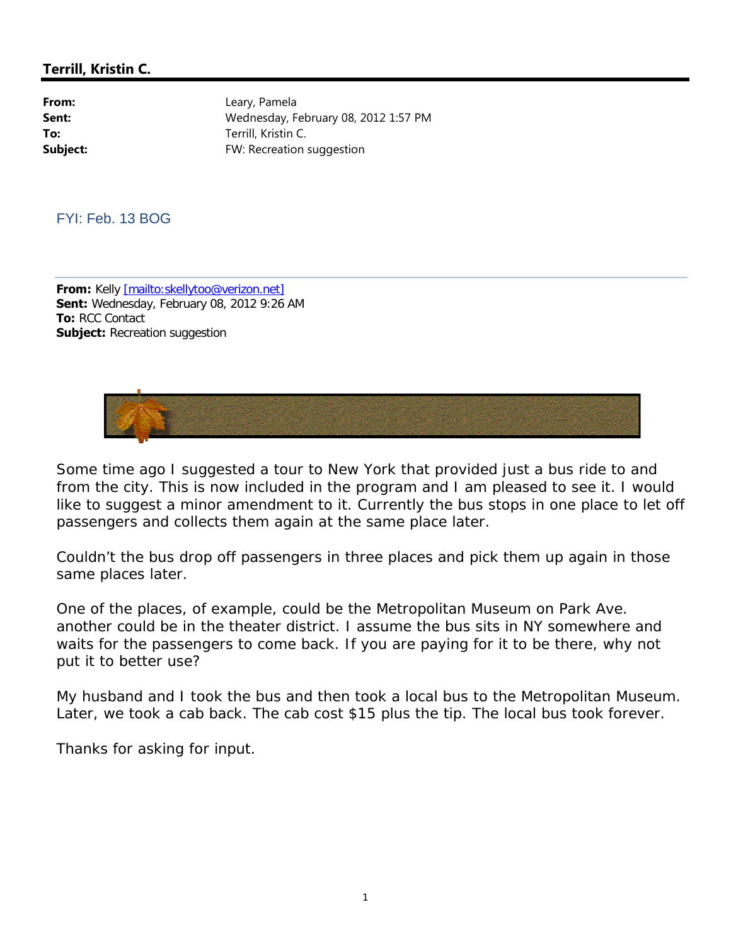From: Leary, Pamela **Sent:** Wednesday, February 08, 2012 1:57 PM **To:** Terrill, Kristin C. **Subject:** FW: Recreation suggestion

FYI: Feb. 13 BOG

**From:** Kelly [mailto:skellytoo@verizon.net] **Sent:** Wednesday, February 08, 2012 9:26 AM **To:** RCC Contact **Subject:** Recreation suggestion



Some time ago I suggested a tour to New York that provided just a bus ride to and from the city. This is now included in the program and I am pleased to see it. I would like to suggest a minor amendment to it. Currently the bus stops in one place to let off passengers and collects them again at the same place later.

Couldn't the bus drop off passengers in three places and pick them up again in those same places later.

One of the places, of example, could be the Metropolitan Museum on Park Ave. another could be in the theater district. I assume the bus sits in NY somewhere and waits for the passengers to come back. If you are paying for it to be there, why not put it to better use?

My husband and I took the bus and then took a local bus to the Metropolitan Museum. Later, we took a cab back. The cab cost \$15 plus the tip. The local bus took forever.

Thanks for asking for input.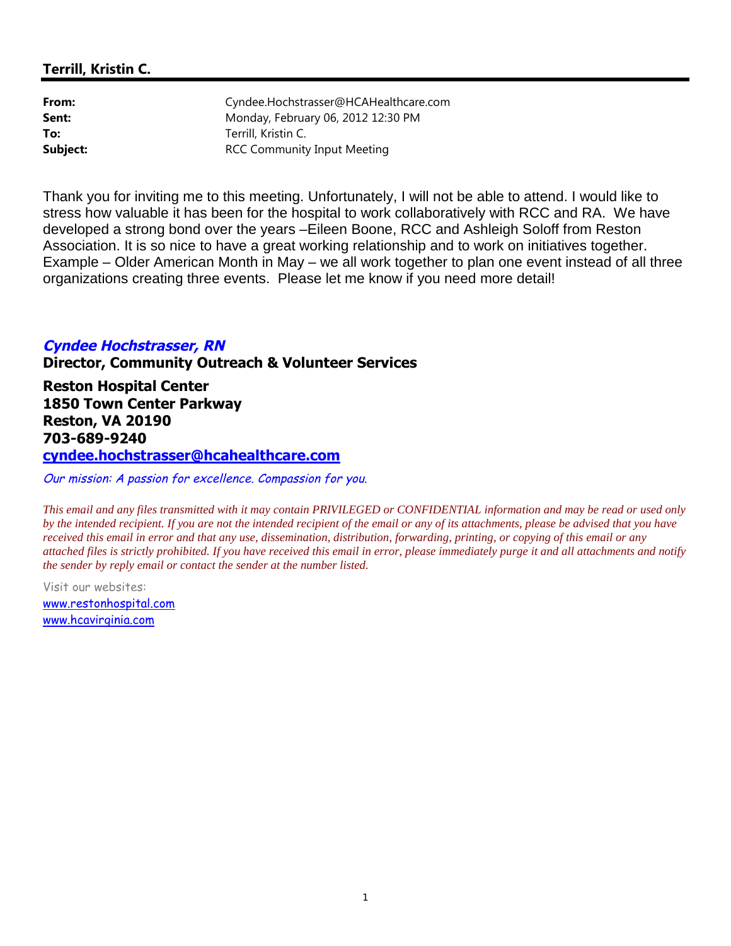| From:    | Cyndee.Hochstrasser@HCAHealthcare.com |
|----------|---------------------------------------|
| Sent:    | Monday, February 06, 2012 12:30 PM    |
| To:      | Terrill, Kristin C.                   |
| Subject: | <b>RCC Community Input Meeting</b>    |

Thank you for inviting me to this meeting. Unfortunately, I will not be able to attend. I would like to stress how valuable it has been for the hospital to work collaboratively with RCC and RA. We have developed a strong bond over the years –Eileen Boone, RCC and Ashleigh Soloff from Reston Association. It is so nice to have a great working relationship and to work on initiatives together. Example – Older American Month in May – we all work together to plan one event instead of all three organizations creating three events. Please let me know if you need more detail!

## **Cyndee Hochstrasser, RN Director, Community Outreach & Volunteer Services**

**Reston Hospital Center 1850 Town Center Parkway Reston, VA 20190 703-689-9240 cyndee.hochstrasser@hcahealthcare.com**

Our mission: <sup>A</sup> passion for excellence. Compassion for you.

*This email and any files transmitted with it may contain PRIVILEGED or CONFIDENTIAL information and may be read or used only by the intended recipient. If you are not the intended recipient of the email or any of its attachments, please be advised that you have received this email in error and that any use, dissemination, distribution, forwarding, printing, or copying of this email or any attached files is strictly prohibited. If you have received this email in error, please immediately purge it and all attachments and notify the sender by reply email or contact the sender at the number listed.*

Visit our websites: www.restonhospital.com www.hcavirginia.com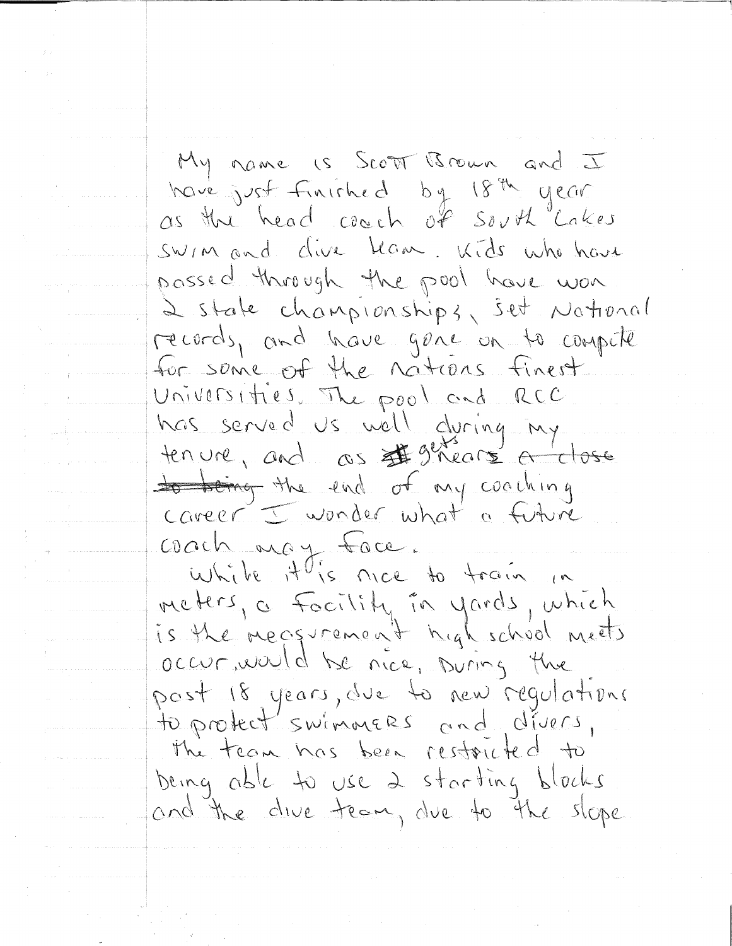My name is Scott Brown and I have just finished by 18th year as the head coach of south Lakes swim and clive ham. Kids who have possed through the pool have won 2 state championships, set National records, and have gene on to compete for some of the nations finest Universities. The pool and RCC has served us well during my<br>tenure, and as #9thears <del>a close</del> to try coaching career I wonder what a future coach may face. while it is nice to train. meters, a Facility in yards, which occur, would be nice, ouring the post 18 years, due to new regulations to protect'swimmers and divers, The team has been restouted to being able to use 2 starting blocks and the dive team, due to the slope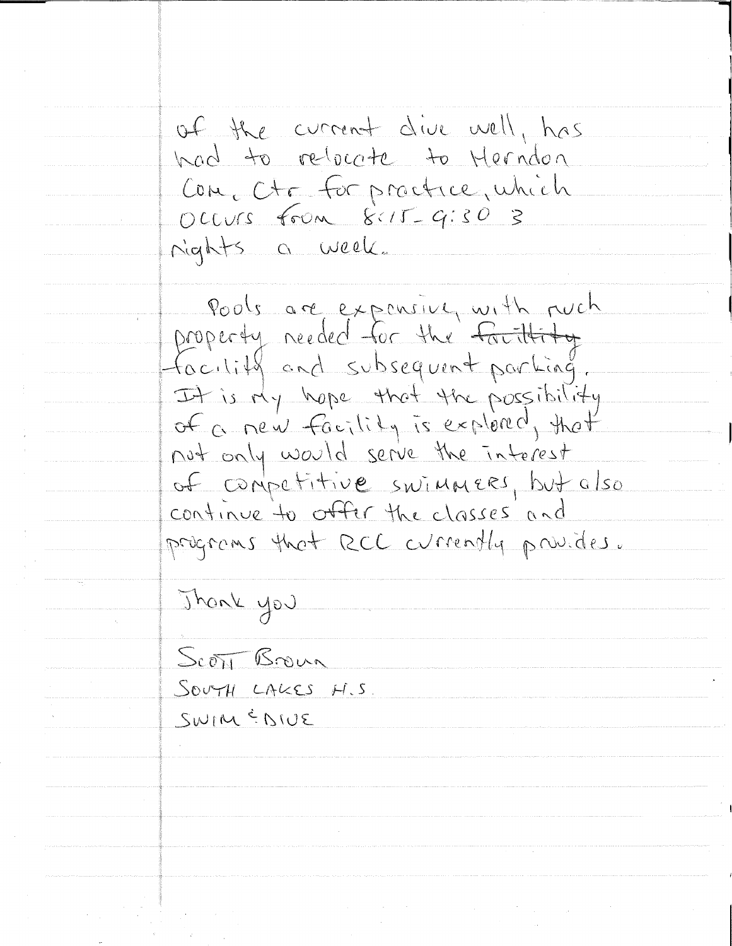of the current dive well, has had to relocate to Herndon Com, Ctc for proctice, which OCCUrs From 8:15-9:30 3 rights a week. Pools are expensive, with ruch

property needed for the facility facility and subsequent partiag. It is My hope that the possibility of a new facility is explored, that not only would serve the interest of competitive swimmers, but also continue to offer the classes and programs that RCC currently provides.

Thank you

<u>Scott Brown</u> SOUTH LAKES H.S. SWIM & DIVE